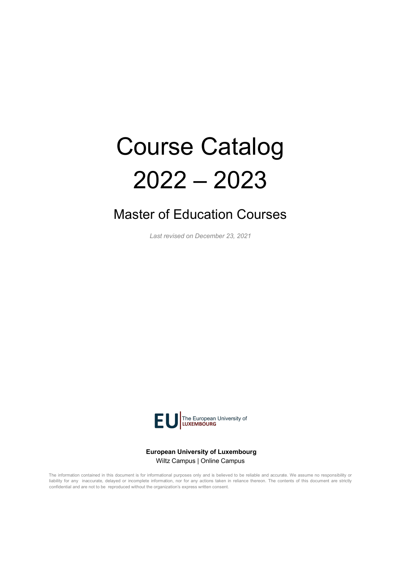# Course Catalog 2022 – 2023

# Master of Education Courses

*Last revised on December 23, 2021*



**European University of Luxembourg** Wiltz Campus | Online Campus

The information contained in this document is for informational purposes only and is believed to be reliable and accurate. We assume no responsibility or liability for any inaccurate, delayed or incomplete information, nor for any actions taken in reliance thereon. The contents of this document are strictly confidential and are not to be reproduced without the organization's express written consent.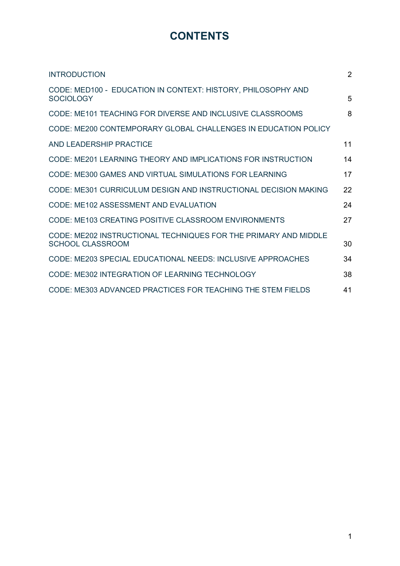# **CONTENTS**

| <b>INTRODUCTION</b>                                                                 | $\overline{2}$ |
|-------------------------------------------------------------------------------------|----------------|
| CODE: MED100 - EDUCATION IN CONTEXT: HISTORY, PHILOSOPHY AND<br><b>SOCIOLOGY</b>    | 5              |
| CODE: ME101 TEACHING FOR DIVERSE AND INCLUSIVE CLASSROOMS                           | 8              |
| CODE: ME200 CONTEMPORARY GLOBAL CHALLENGES IN EDUCATION POLICY                      |                |
| <b>AND LEADERSHIP PRACTICE</b>                                                      | 11             |
| CODE: ME201 LEARNING THEORY AND IMPLICATIONS FOR INSTRUCTION                        | 14             |
| CODE: ME300 GAMES AND VIRTUAL SIMULATIONS FOR LEARNING                              | 17             |
| CODE: ME301 CURRICULUM DESIGN AND INSTRUCTIONAL DECISION MAKING                     | 22             |
| CODE: ME102 ASSESSMENT AND EVALUATION                                               | 24             |
| CODE: ME103 CREATING POSITIVE CLASSROOM ENVIRONMENTS                                | 27             |
| CODE: ME202 INSTRUCTIONAL TECHNIQUES FOR THE PRIMARY AND MIDDLE<br>SCHOOL CLASSROOM | 30             |
| CODE: ME203 SPECIAL EDUCATIONAL NEEDS: INCLUSIVE APPROACHES                         | 34             |
| CODE: ME302 INTEGRATION OF LEARNING TECHNOLOGY                                      | 38             |
| CODE: ME303 ADVANCED PRACTICES FOR TEACHING THE STEM FIELDS                         | 41             |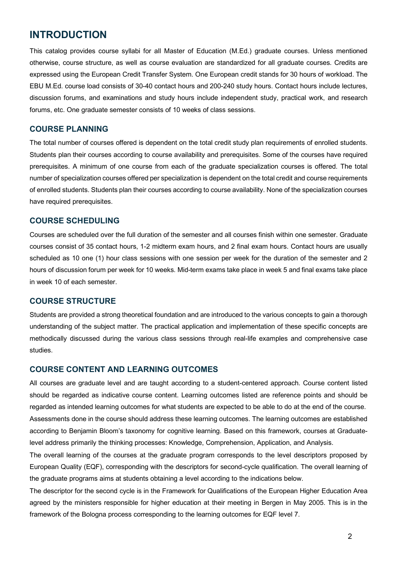# **INTRODUCTION**

This catalog provides course syllabi for all Master of Education (M.Ed.) graduate courses. Unless mentioned otherwise, course structure, as well as course evaluation are standardized for all graduate courses. Credits are expressed using the European Credit Transfer System. One European credit stands for 30 hours of workload. The EBU M.Ed. course load consists of 30-40 contact hours and 200-240 study hours. Contact hours include lectures, discussion forums, and examinations and study hours include independent study, practical work, and research forums, etc. One graduate semester consists of 10 weeks of class sessions.

# **COURSE PLANNING**

The total number of courses offered is dependent on the total credit study plan requirements of enrolled students. Students plan their courses according to course availability and prerequisites. Some of the courses have required prerequisites. A minimum of one course from each of the graduate specialization courses is offered. The total number of specialization courses offered per specialization is dependent on the total credit and course requirements of enrolled students. Students plan their courses according to course availability. None of the specialization courses have required prerequisites.

#### **COURSE SCHEDULING**

Courses are scheduled over the full duration of the semester and all courses finish within one semester. Graduate courses consist of 35 contact hours, 1-2 midterm exam hours, and 2 final exam hours. Contact hours are usually scheduled as 10 one (1) hour class sessions with one session per week for the duration of the semester and 2 hours of discussion forum per week for 10 weeks. Mid-term exams take place in week 5 and final exams take place in week 10 of each semester.

#### **COURSE STRUCTURE**

Students are provided a strong theoretical foundation and are introduced to the various concepts to gain a thorough understanding of the subject matter. The practical application and implementation of these specific concepts are methodically discussed during the various class sessions through real-life examples and comprehensive case studies.

#### **COURSE CONTENT AND LEARNING OUTCOMES**

All courses are graduate level and are taught according to a student-centered approach. Course content listed should be regarded as indicative course content. Learning outcomes listed are reference points and should be regarded as intended learning outcomes for what students are expected to be able to do at the end of the course. Assessments done in the course should address these learning outcomes. The learning outcomes are established according to Benjamin Bloom's taxonomy for cognitive learning. Based on this framework, courses at Graduatelevel address primarily the thinking processes: Knowledge, Comprehension, Application, and Analysis.

The overall learning of the courses at the graduate program corresponds to the level descriptors proposed by European Quality (EQF), corresponding with the descriptors for second-cycle qualification. The overall learning of the graduate programs aims at students obtaining a level according to the indications below.

The descriptor for the second cycle is in the Framework for Qualifications of the European Higher Education Area agreed by the ministers responsible for higher education at their meeting in Bergen in May 2005. This is in the framework of the Bologna process corresponding to the learning outcomes for EQF level 7.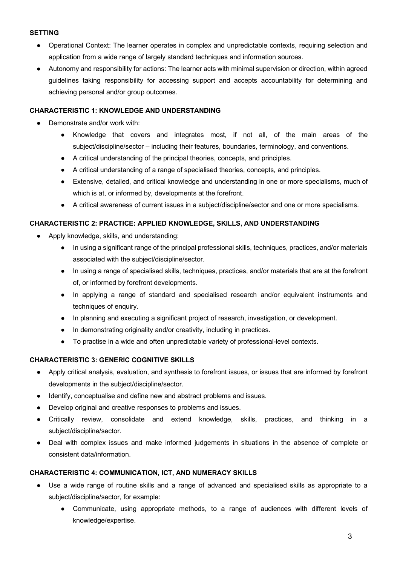#### **SETTING**

- Operational Context: The learner operates in complex and unpredictable contexts, requiring selection and application from a wide range of largely standard techniques and information sources.
- Autonomy and responsibility for actions: The learner acts with minimal supervision or direction, within agreed guidelines taking responsibility for accessing support and accepts accountability for determining and achieving personal and/or group outcomes.

#### **CHARACTERISTIC 1: KNOWLEDGE AND UNDERSTANDING**

- Demonstrate and/or work with:
	- Knowledge that covers and integrates most, if not all, of the main areas of the subject/discipline/sector – including their features, boundaries, terminology, and conventions.
	- A critical understanding of the principal theories, concepts, and principles.
	- A critical understanding of a range of specialised theories, concepts, and principles.
	- Extensive, detailed, and critical knowledge and understanding in one or more specialisms, much of which is at, or informed by, developments at the forefront.
	- A critical awareness of current issues in a subject/discipline/sector and one or more specialisms.

#### **CHARACTERISTIC 2: PRACTICE: APPLIED KNOWLEDGE, SKILLS, AND UNDERSTANDING**

- Apply knowledge, skills, and understanding:
	- In using a significant range of the principal professional skills, techniques, practices, and/or materials associated with the subject/discipline/sector.
	- In using a range of specialised skills, techniques, practices, and/or materials that are at the forefront of, or informed by forefront developments.
	- In applying a range of standard and specialised research and/or equivalent instruments and techniques of enquiry.
	- In planning and executing a significant project of research, investigation, or development.
	- In demonstrating originality and/or creativity, including in practices.
	- To practise in a wide and often unpredictable variety of professional-level contexts.

#### **CHARACTERISTIC 3: GENERIC COGNITIVE SKILLS**

- Apply critical analysis, evaluation, and synthesis to forefront issues, or issues that are informed by forefront developments in the subject/discipline/sector.
- Identify, conceptualise and define new and abstract problems and issues.
- Develop original and creative responses to problems and issues.
- Critically review, consolidate and extend knowledge, skills, practices, and thinking in a subject/discipline/sector.
- Deal with complex issues and make informed judgements in situations in the absence of complete or consistent data/information.

#### **CHARACTERISTIC 4: COMMUNICATION, ICT, AND NUMERACY SKILLS**

- Use a wide range of routine skills and a range of advanced and specialised skills as appropriate to a subject/discipline/sector, for example:
	- Communicate, using appropriate methods, to a range of audiences with different levels of knowledge/expertise.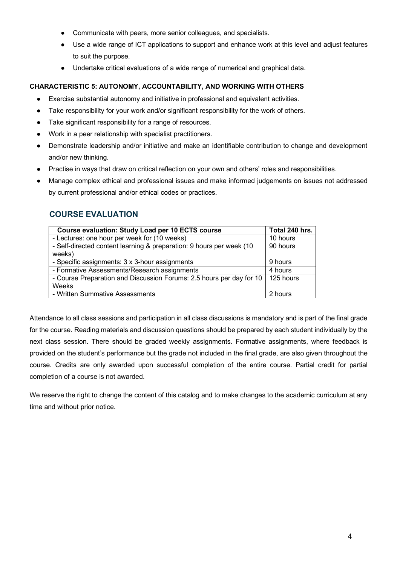- Communicate with peers, more senior colleagues, and specialists.
- Use a wide range of ICT applications to support and enhance work at this level and adjust features to suit the purpose.
- Undertake critical evaluations of a wide range of numerical and graphical data.

#### **CHARACTERISTIC 5: AUTONOMY, ACCOUNTABILITY, AND WORKING WITH OTHERS**

- Exercise substantial autonomy and initiative in professional and equivalent activities.
- Take responsibility for your work and/or significant responsibility for the work of others.
- Take significant responsibility for a range of resources.
- Work in a peer relationship with specialist practitioners.
- Demonstrate leadership and/or initiative and make an identifiable contribution to change and development and/or new thinking.
- Practise in ways that draw on critical reflection on your own and others' roles and responsibilities.
- Manage complex ethical and professional issues and make informed judgements on issues not addressed by current professional and/or ethical codes or practices.

# **COURSE EVALUATION**

| <b>Course evaluation: Study Load per 10 ECTS course</b>              | Total 240 hrs.    |
|----------------------------------------------------------------------|-------------------|
| - Lectures: one hour per week for (10 weeks)                         | 10 hours          |
| - Self-directed content learning & preparation: 9 hours per week (10 | 90 hours          |
| weeks)                                                               |                   |
| - Specific assignments: 3 x 3-hour assignments                       | 9 hours           |
| - Formative Assessments/Research assignments                         | 4 hours           |
| - Course Preparation and Discussion Forums: 2.5 hours per day for 10 | $\vert$ 125 hours |
| Weeks                                                                |                   |
| - Written Summative Assessments                                      | 2 hours           |

Attendance to all class sessions and participation in all class discussions is mandatory and is part of the final grade for the course. Reading materials and discussion questions should be prepared by each student individually by the next class session. There should be graded weekly assignments. Formative assignments, where feedback is provided on the student's performance but the grade not included in the final grade, are also given throughout the course. Credits are only awarded upon successful completion of the entire course. Partial credit for partial completion of a course is not awarded.

We reserve the right to change the content of this catalog and to make changes to the academic curriculum at any time and without prior notice.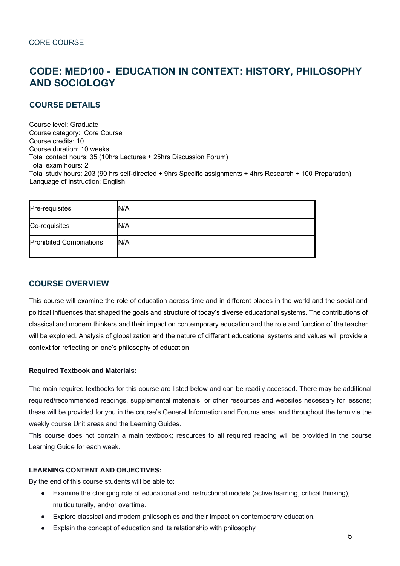# **CODE: MED100 - EDUCATION IN CONTEXT: HISTORY, PHILOSOPHY AND SOCIOLOGY**

# **COURSE DETAILS**

Course level: Graduate Course category: Core Course Course credits: 10 Course duration: 10 weeks Total contact hours: 35 (10hrs Lectures + 25hrs Discussion Forum) Total exam hours: 2 Total study hours: 203 (90 hrs self-directed + 9hrs Specific assignments + 4hrs Research + 100 Preparation) Language of instruction: English

| Pre-requisites                 | N/A |
|--------------------------------|-----|
| Co-requisites                  | N/A |
| <b>Prohibited Combinations</b> | N/A |

# **COURSE OVERVIEW**

This course will examine the role of education across time and in different places in the world and the social and political influences that shaped the goals and structure of today's diverse educational systems. The contributions of classical and modern thinkers and their impact on contemporary education and the role and function of the teacher will be explored. Analysis of globalization and the nature of different educational systems and values will provide a context for reflecting on one's philosophy of education.

#### **Required Textbook and Materials:**

The main required textbooks for this course are listed below and can be readily accessed. There may be additional required/recommended readings, supplemental materials, or other resources and websites necessary for lessons; these will be provided for you in the course's General Information and Forums area, and throughout the term via the weekly course Unit areas and the Learning Guides.

This course does not contain a main textbook; resources to all required reading will be provided in the course Learning Guide for each week.

#### **LEARNING CONTENT AND OBJECTIVES:**

By the end of this course students will be able to:

- Examine the changing role of educational and instructional models (active learning, critical thinking), multiculturally, and/or overtime.
- Explore classical and modern philosophies and their impact on contemporary education.
- Explain the concept of education and its relationship with philosophy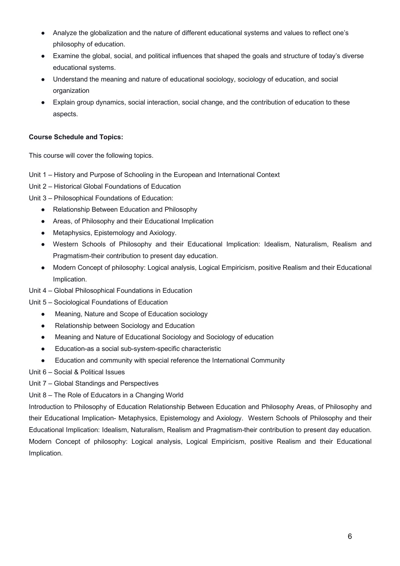- Analyze the globalization and the nature of different educational systems and values to reflect one's philosophy of education.
- Examine the global, social, and political influences that shaped the goals and structure of today's diverse educational systems.
- Understand the meaning and nature of educational sociology, sociology of education, and social organization
- Explain group dynamics, social interaction, social change, and the contribution of education to these aspects.

# **Course Schedule and Topics:**

This course will cover the following topics.

- Unit 1 History and Purpose of Schooling in the European and International Context
- Unit 2 Historical Global Foundations of Education

Unit 3 – Philosophical Foundations of Education:

- Relationship Between Education and Philosophy
- Areas, of Philosophy and their Educational Implication
- Metaphysics, Epistemology and Axiology.
- Western Schools of Philosophy and their Educational Implication: Idealism, Naturalism, Realism and Pragmatism-their contribution to present day education.
- Modern Concept of philosophy: Logical analysis, Logical Empiricism, positive Realism and their Educational Implication.
- Unit 4 Global Philosophical Foundations in Education
- Unit 5 Sociological Foundations of Education
	- Meaning, Nature and Scope of Education sociology
	- Relationship between Sociology and Education
	- Meaning and Nature of Educational Sociology and Sociology of education
	- Education-as a social sub-system-specific characteristic
	- Education and community with special reference the International Community
- Unit 6 Social & Political Issues

Unit 7 – Global Standings and Perspectives

Unit 8 – The Role of Educators in a Changing World

Introduction to Philosophy of Education Relationship Between Education and Philosophy Areas, of Philosophy and their Educational Implication- Metaphysics, Epistemology and Axiology. Western Schools of Philosophy and their Educational Implication: Idealism, Naturalism, Realism and Pragmatism-their contribution to present day education. Modern Concept of philosophy: Logical analysis, Logical Empiricism, positive Realism and their Educational Implication.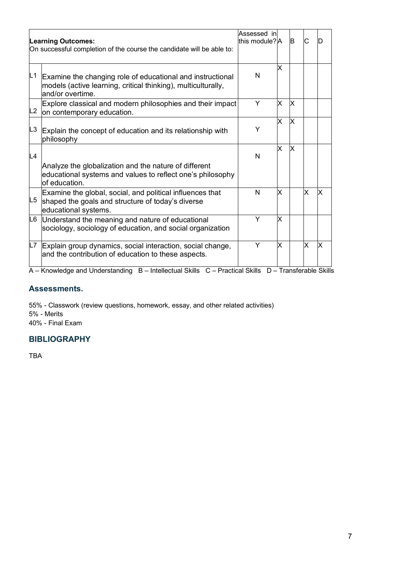|                | <b>Learning Outcomes:</b><br>On successful completion of the course the candidate will be able to:                                              | Assessed in<br>this module? A |   | B        | C  |         |
|----------------|-------------------------------------------------------------------------------------------------------------------------------------------------|-------------------------------|---|----------|----|---------|
| L1             | Examine the changing role of educational and instructional<br>models (active learning, critical thinking), multiculturally,<br>and/or overtime. | N                             | X |          |    |         |
| L2             | Explore classical and modern philosophies and their impact<br>on contemporary education.                                                        | Y                             | X | X        |    |         |
| L <sub>3</sub> | Explain the concept of education and its relationship with<br>philosophy                                                                        | Y                             | X | $\times$ |    |         |
| L4             | Analyze the globalization and the nature of different<br>educational systems and values to reflect one's philosophy<br>of education.            | $\mathsf{N}$                  | X | X        |    |         |
| L <sub>5</sub> | Examine the global, social, and political influences that<br>shaped the goals and structure of today's diverse<br>educational systems.          | N                             | x |          | lх | X       |
| L6             | Understand the meaning and nature of educational<br>sociology, sociology of education, and social organization                                  | Y                             | X |          |    |         |
| L7             | Explain group dynamics, social interaction, social change,<br>and the contribution of education to these aspects.                               | Y                             | X |          | X  | X       |
|                | والمتألف مرمانة مستمراته مرارا المتمرض المتمالين مراريان<br>$\sim$ D = 1.44.11.44.1.41.01.31.4 = $\sim$<br>D.                                   | 1.0130                        | ┯ |          |    | LL OLIL |

A – Knowledge and Understanding B – Intellectual Skills C – Practical Skills D – Transferable Skills

#### **Assessments.**

55% - Classwork (review questions, homework, essay, and other related activities) 5% - Merits 40% - Final Exam

# **BIBLIOGRAPHY**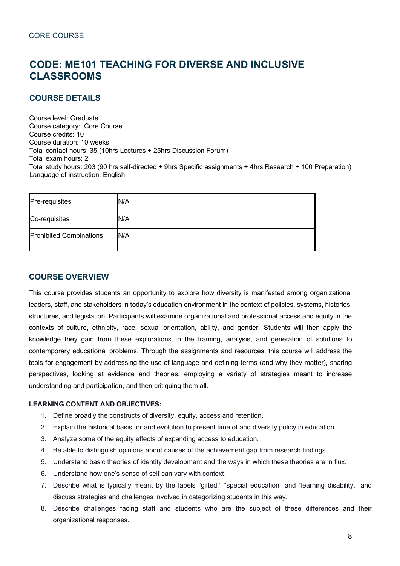# **CODE: ME101 TEACHING FOR DIVERSE AND INCLUSIVE CLASSROOMS**

# **COURSE DETAILS**

Course level: Graduate Course category: Core Course Course credits: 10 Course duration: 10 weeks Total contact hours: 35 (10hrs Lectures + 25hrs Discussion Forum) Total exam hours: 2 Total study hours: 203 (90 hrs self-directed + 9hrs Specific assignments + 4hrs Research + 100 Preparation) Language of instruction: English

| Pre-requisites                 | N/A |
|--------------------------------|-----|
| Co-requisites                  | N/A |
| <b>Prohibited Combinations</b> | N/A |

# **COURSE OVERVIEW**

This course provides students an opportunity to explore how diversity is manifested among organizational leaders, staff, and stakeholders in today's education environment in the context of policies, systems, histories, structures, and legislation. Participants will examine organizational and professional access and equity in the contexts of culture, ethnicity, race, sexual orientation, ability, and gender. Students will then apply the knowledge they gain from these explorations to the framing, analysis, and generation of solutions to contemporary educational problems. Through the assignments and resources, this course will address the tools for engagement by addressing the use of language and defining terms (and why they matter), sharing perspectives, looking at evidence and theories, employing a variety of strategies meant to increase understanding and participation, and then critiquing them all.

#### **LEARNING CONTENT AND OBJECTIVES:**

- 1. Define broadly the constructs of diversity, equity, access and retention.
- 2. Explain the historical basis for and evolution to present time of and diversity policy in education.
- 3. Analyze some of the equity effects of expanding access to education.
- 4. Be able to distinguish opinions about causes of the achievement gap from research findings.
- 5. Understand basic theories of identity development and the ways in which these theories are in flux.
- 6. Understand how one's sense of self can vary with context.
- 7. Describe what is typically meant by the labels "gifted," "special education" and "learning disability," and discuss strategies and challenges involved in categorizing students in this way.
- 8. Describe challenges facing staff and students who are the subject of these differences and their organizational responses.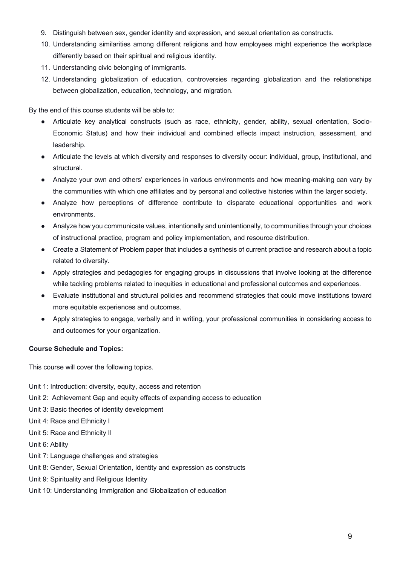- 9. Distinguish between sex, gender identity and expression, and sexual orientation as constructs.
- 10. Understanding similarities among different religions and how employees might experience the workplace differently based on their spiritual and religious identity.
- 11. Understanding civic belonging of immigrants.
- 12. Understanding globalization of education, controversies regarding globalization and the relationships between globalization, education, technology, and migration.

By the end of this course students will be able to:

- Articulate key analytical constructs (such as race, ethnicity, gender, ability, sexual orientation, Socio-Economic Status) and how their individual and combined effects impact instruction, assessment, and leadership.
- Articulate the levels at which diversity and responses to diversity occur: individual, group, institutional, and structural.
- Analyze your own and others' experiences in various environments and how meaning-making can vary by the communities with which one affiliates and by personal and collective histories within the larger society.
- Analyze how perceptions of difference contribute to disparate educational opportunities and work environments.
- Analyze how you communicate values, intentionally and unintentionally, to communities through your choices of instructional practice, program and policy implementation, and resource distribution.
- Create a Statement of Problem paper that includes a synthesis of current practice and research about a topic related to diversity.
- Apply strategies and pedagogies for engaging groups in discussions that involve looking at the difference while tackling problems related to inequities in educational and professional outcomes and experiences.
- Evaluate institutional and structural policies and recommend strategies that could move institutions toward more equitable experiences and outcomes.
- Apply strategies to engage, verbally and in writing, your professional communities in considering access to and outcomes for your organization.

#### **Course Schedule and Topics:**

This course will cover the following topics.

- Unit 1: Introduction: diversity, equity, access and retention
- Unit 2: Achievement Gap and equity effects of expanding access to education
- Unit 3: Basic theories of identity development
- Unit 4: Race and Ethnicity I
- Unit 5: Race and Ethnicity II
- Unit 6: Ability
- Unit 7: Language challenges and strategies
- Unit 8: Gender, Sexual Orientation, identity and expression as constructs
- Unit 9: Spirituality and Religious Identity
- Unit 10: Understanding Immigration and Globalization of education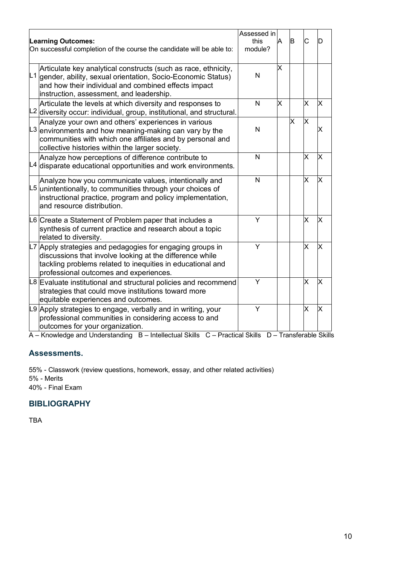| <b>Learning Outcomes:</b><br>On successful completion of the course the candidate will be able to:                                                                                                                                                           | Assessed in<br>this<br>module? | Α             | B | C  |   |
|--------------------------------------------------------------------------------------------------------------------------------------------------------------------------------------------------------------------------------------------------------------|--------------------------------|---------------|---|----|---|
| Articulate key analytical constructs (such as race, ethnicity,<br>$\vert L1\vert$ gender, ability, sexual orientation, Socio-Economic Status)<br>and how their individual and combined effects impact<br>instruction, assessment, and leadership.            | N                              | X             |   |    |   |
| Articulate the levels at which diversity and responses to<br>L <sub>2</sub> diversity occur: individual, group, institutional, and structural.                                                                                                               | N                              | X             |   | x  | х |
| Analyze your own and others' experiences in various<br>$L3$ environments and how meaning-making can vary by the<br>communities with which one affiliates and by personal and<br>collective histories within the larger society.                              | N                              |               | X | lx |   |
| Analyze how perceptions of difference contribute to<br>$L4$ disparate educational opportunities and work environments.                                                                                                                                       | N                              |               |   | X  | Χ |
| Analyze how you communicate values, intentionally and<br>$L5$ unintentionally, to communities through your choices of<br>instructional practice, program and policy implementation,<br>and resource distribution.                                            | N                              |               |   | X  | X |
| L6 Create a Statement of Problem paper that includes a<br>synthesis of current practice and research about a topic<br>related to diversity.                                                                                                                  | Y                              |               |   | X  | X |
| L7 Apply strategies and pedagogies for engaging groups in<br>discussions that involve looking at the difference while<br>tackling problems related to inequities in educational and<br>professional outcomes and experiences.                                | Y                              |               |   | X  | Χ |
| L8 Evaluate institutional and structural policies and recommend<br>strategies that could move institutions toward more<br>equitable experiences and outcomes.                                                                                                | Y                              |               |   | X  | Х |
| L9 Apply strategies to engage, verbally and in writing, your<br>professional communities in considering access to and<br>outcomes for your organization.<br><b>D.</b> Intellectual Obilia C. Drestical Obilia.<br>وبالمستحقق والمسارا المستحر وسامره المتحدث | Ý                              | $T_{\rm max}$ |   | X  | Χ |

A – Knowledge and Understanding B – Intellectual Skills C – Practical Skills D – Transferable Skills

# **Assessments.**

55% - Classwork (review questions, homework, essay, and other related activities) 5% - Merits 40% - Final Exam

# **BIBLIOGRAPHY**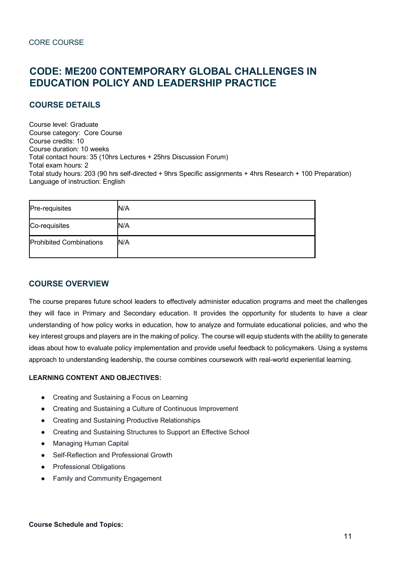# **CODE: ME200 CONTEMPORARY GLOBAL CHALLENGES IN EDUCATION POLICY AND LEADERSHIP PRACTICE**

# **COURSE DETAILS**

Course level: Graduate Course category: Core Course Course credits: 10 Course duration: 10 weeks Total contact hours: 35 (10hrs Lectures + 25hrs Discussion Forum) Total exam hours: 2 Total study hours: 203 (90 hrs self-directed + 9hrs Specific assignments + 4hrs Research + 100 Preparation) Language of instruction: English

| Pre-requisites                 | N/A |
|--------------------------------|-----|
| Co-requisites                  | N/A |
| <b>Prohibited Combinations</b> | N/A |

# **COURSE OVERVIEW**

The course prepares future school leaders to effectively administer education programs and meet the challenges they will face in Primary and Secondary education. It provides the opportunity for students to have a clear understanding of how policy works in education, how to analyze and formulate educational policies, and who the key interest groups and players are in the making of policy. The course will equip students with the ability to generate ideas about how to evaluate policy implementation and provide useful feedback to policymakers. Using a systems approach to understanding leadership, the course combines coursework with real-world experiential learning.

#### **LEARNING CONTENT AND OBJECTIVES:**

- Creating and Sustaining a Focus on Learning
- Creating and Sustaining a Culture of Continuous Improvement
- Creating and Sustaining Productive Relationships
- Creating and Sustaining Structures to Support an Effective School
- Managing Human Capital
- Self-Reflection and Professional Growth
- Professional Obligations
- Family and Community Engagement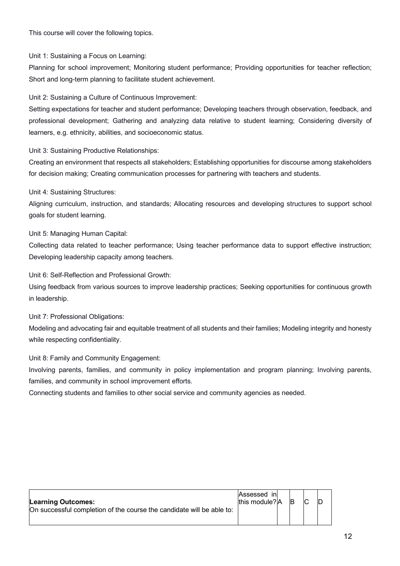This course will cover the following topics.

Unit 1: Sustaining a Focus on Learning:

Planning for school improvement; Monitoring student performance; Providing opportunities for teacher reflection; Short and long-term planning to facilitate student achievement.

Unit 2: Sustaining a Culture of Continuous Improvement:

Setting expectations for teacher and student performance; Developing teachers through observation, feedback, and professional development; Gathering and analyzing data relative to student learning; Considering diversity of learners, e.g. ethnicity, abilities, and socioeconomic status.

Unit 3: Sustaining Productive Relationships:

Creating an environment that respects all stakeholders; Establishing opportunities for discourse among stakeholders for decision making; Creating communication processes for partnering with teachers and students.

Unit 4: Sustaining Structures:

Aligning curriculum, instruction, and standards; Allocating resources and developing structures to support school goals for student learning.

Unit 5: Managing Human Capital:

Collecting data related to teacher performance; Using teacher performance data to support effective instruction; Developing leadership capacity among teachers.

Unit 6: Self-Reflection and Professional Growth:

Using feedback from various sources to improve leadership practices; Seeking opportunities for continuous growth in leadership.

Unit 7: Professional Obligations:

Modeling and advocating fair and equitable treatment of all students and their families; Modeling integrity and honesty while respecting confidentiality.

Unit 8: Family and Community Engagement:

Involving parents, families, and community in policy implementation and program planning; Involving parents, families, and community in school improvement efforts.

Connecting students and families to other social service and community agencies as needed.

| <b>Learning Outcomes:</b>                                             | Assessed in<br>this module? A | - IB | IC. |  |
|-----------------------------------------------------------------------|-------------------------------|------|-----|--|
| On successful completion of the course the candidate will be able to: |                               |      |     |  |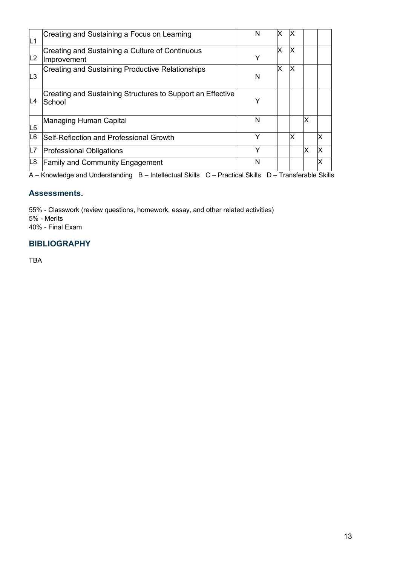| L1             | Creating and Sustaining a Focus on Learning                                                          | N | x | ΙX |   |    |
|----------------|------------------------------------------------------------------------------------------------------|---|---|----|---|----|
| L2             | Creating and Sustaining a Culture of Continuous<br>Improvement                                       | Y | x | ΙX |   |    |
| L <sub>3</sub> | <b>Creating and Sustaining Productive Relationships</b>                                              | N | X | ΙX |   |    |
| L4             | Creating and Sustaining Structures to Support an Effective<br>School                                 | Y |   |    |   |    |
| L <sub>5</sub> | Managing Human Capital                                                                               | N |   |    | x |    |
| L6             | Self-Reflection and Professional Growth                                                              | Υ |   | ΙX |   | x  |
| L7             | <b>Professional Obligations</b>                                                                      | Υ |   |    | x | ΙX |
| L8             | <b>Family and Community Engagement</b>                                                               | N |   |    |   | x  |
|                | A - Knowledge and Understanding B - Intellectual Skills C - Practical Skills D - Transferable Skills |   |   |    |   |    |

### **Assessments.**

55% - Classwork (review questions, homework, essay, and other related activities) 5% - Merits

40% - Final Exam

# **BIBLIOGRAPHY**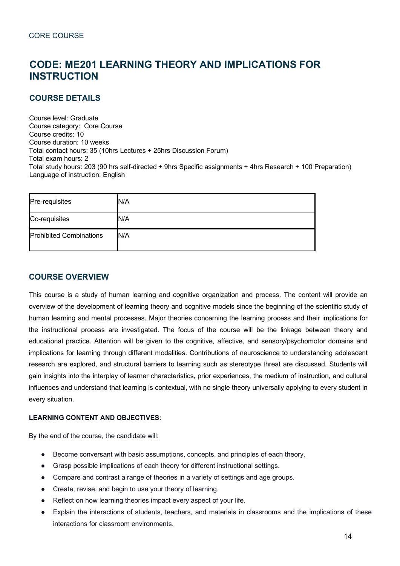# **CODE: ME201 LEARNING THEORY AND IMPLICATIONS FOR INSTRUCTION**

# **COURSE DETAILS**

Course level: Graduate Course category: Core Course Course credits: 10 Course duration: 10 weeks Total contact hours: 35 (10hrs Lectures + 25hrs Discussion Forum) Total exam hours: 2 Total study hours: 203 (90 hrs self-directed + 9hrs Specific assignments + 4hrs Research + 100 Preparation) Language of instruction: English

| Pre-requisites                 | N/A |
|--------------------------------|-----|
| Co-requisites                  | N/A |
| <b>Prohibited Combinations</b> | N/A |

# **COURSE OVERVIEW**

This course is a study of human learning and cognitive organization and process. The content will provide an overview of the development of learning theory and cognitive models since the beginning of the scientific study of human learning and mental processes. Major theories concerning the learning process and their implications for the instructional process are investigated. The focus of the course will be the linkage between theory and educational practice. Attention will be given to the cognitive, affective, and sensory/psychomotor domains and implications for learning through different modalities. Contributions of neuroscience to understanding adolescent research are explored, and structural barriers to learning such as stereotype threat are discussed. Students will gain insights into the interplay of learner characteristics, prior experiences, the medium of instruction, and cultural influences and understand that learning is contextual, with no single theory universally applying to every student in every situation.

#### **LEARNING CONTENT AND OBJECTIVES:**

By the end of the course, the candidate will:

- Become conversant with basic assumptions, concepts, and principles of each theory.
- Grasp possible implications of each theory for different instructional settings.
- Compare and contrast a range of theories in a variety of settings and age groups.
- Create, revise, and begin to use your theory of learning.
- Reflect on how learning theories impact every aspect of your life.
- Explain the interactions of students, teachers, and materials in classrooms and the implications of these interactions for classroom environments.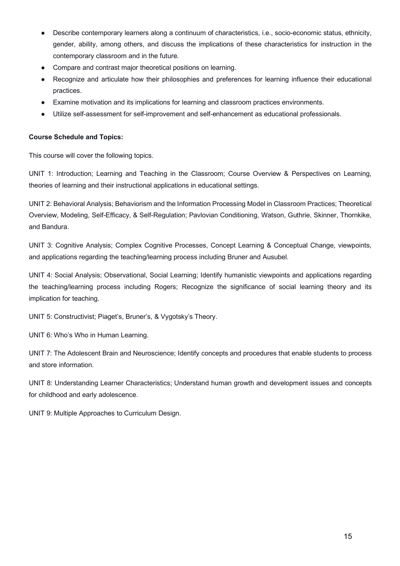- Describe contemporary learners along a continuum of characteristics, i.e., socio-economic status, ethnicity, gender, ability, among others, and discuss the implications of these characteristics for instruction in the contemporary classroom and in the future.
- Compare and contrast major theoretical positions on learning.
- Recognize and articulate how their philosophies and preferences for learning influence their educational practices.
- Examine motivation and its implications for learning and classroom practices environments.
- Utilize self-assessment for self-improvement and self-enhancement as educational professionals.

#### **Course Schedule and Topics:**

This course will cover the following topics.

UNIT 1: Introduction; Learning and Teaching in the Classroom; Course Overview & Perspectives on Learning, theories of learning and their instructional applications in educational settings.

UNIT 2: Behavioral Analysis; Behaviorism and the Information Processing Model in Classroom Practices; Theoretical Overview, Modeling, Self-Efficacy, & Self-Regulation; Pavlovian Conditioning, Watson, Guthrie, Skinner, Thornkike, and Bandura.

UNIT 3: Cognitive Analysis; Complex Cognitive Processes, Concept Learning & Conceptual Change, viewpoints, and applications regarding the teaching/learning process including Bruner and Ausubel.

UNIT 4: Social Analysis; Observational, Social Learning; Identify humanistic viewpoints and applications regarding the teaching/learning process including Rogers; Recognize the significance of social learning theory and its implication for teaching.

UNIT 5: Constructivist; Piaget's, Bruner's, & Vygotsky's Theory.

UNIT 6: Who's Who in Human Learning.

UNIT 7: The Adolescent Brain and Neuroscience; Identify concepts and procedures that enable students to process and store information.

UNIT 8: Understanding Learner Characteristics; Understand human growth and development issues and concepts for childhood and early adolescence.

UNIT 9: Multiple Approaches to Curriculum Design.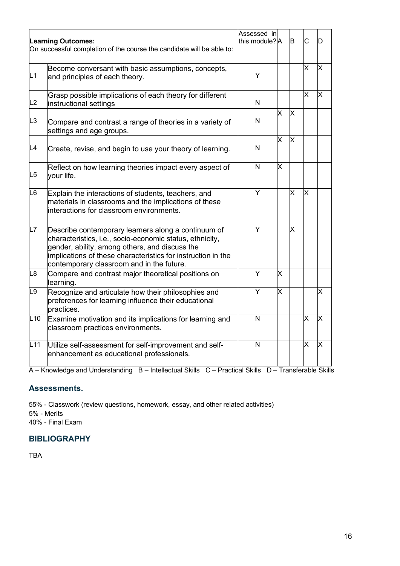|                | <b>Learning Outcomes:</b><br>On successful completion of the course the candidate will be able to:                                                                                                                                                                             | Assessed in<br>this module?lA |                         | lB.                     | C                       |   |
|----------------|--------------------------------------------------------------------------------------------------------------------------------------------------------------------------------------------------------------------------------------------------------------------------------|-------------------------------|-------------------------|-------------------------|-------------------------|---|
| L1             | Become conversant with basic assumptions, concepts,<br>and principles of each theory.                                                                                                                                                                                          | Y                             |                         |                         | X                       | x |
| L2             | Grasp possible implications of each theory for different<br>instructional settings                                                                                                                                                                                             | N                             |                         |                         | $\overline{\mathsf{x}}$ | X |
| L <sub>3</sub> | Compare and contrast a range of theories in a variety of<br>settings and age groups.                                                                                                                                                                                           | $\mathsf{N}$                  | X                       | $\times$                |                         |   |
| L4             | Create, revise, and begin to use your theory of learning.                                                                                                                                                                                                                      | N                             | $\overline{\mathsf{x}}$ | $\overline{\mathsf{x}}$ |                         |   |
| L <sub>5</sub> | Reflect on how learning theories impact every aspect of<br>your life.                                                                                                                                                                                                          | $\mathsf{N}$                  | X                       |                         |                         |   |
| L6             | Explain the interactions of students, teachers, and<br>materials in classrooms and the implications of these<br>interactions for classroom environments.                                                                                                                       | Y                             |                         | X                       | X                       |   |
| L7             | Describe contemporary learners along a continuum of<br>characteristics, i.e., socio-economic status, ethnicity,<br>gender, ability, among others, and discuss the<br>implications of these characteristics for instruction in the<br>contemporary classroom and in the future. | Y                             |                         | X                       |                         |   |
| L <sub>8</sub> | Compare and contrast major theoretical positions on<br>learning.                                                                                                                                                                                                               | Y                             | Χ                       |                         |                         |   |
| L <sub>9</sub> | Recognize and articulate how their philosophies and<br>preferences for learning influence their educational<br>practices.                                                                                                                                                      | Y                             | X                       |                         |                         | x |
| L10            | Examine motivation and its implications for learning and<br>classroom practices environments.                                                                                                                                                                                  | $\mathsf{N}$                  |                         |                         | X                       | х |
| L11            | Utilize self-assessment for self-improvement and self-<br>enhancement as educational professionals.                                                                                                                                                                            | N                             |                         |                         | X                       | Χ |

A – Knowledge and Understanding B – Intellectual Skills C – Practical Skills D – Transferable Skills

# **Assessments.**

55% - Classwork (review questions, homework, essay, and other related activities) 5% - Merits

40% - Final Exam

# **BIBLIOGRAPHY**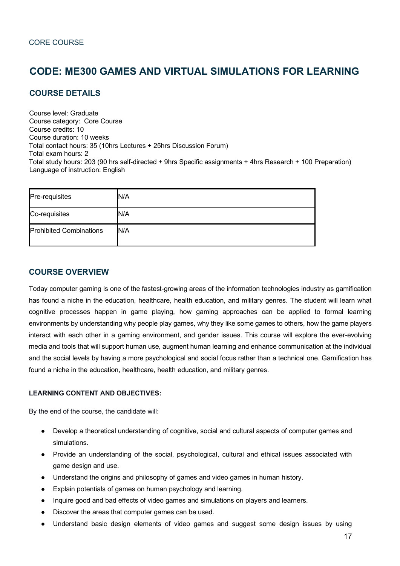# **CODE: ME300 GAMES AND VIRTUAL SIMULATIONS FOR LEARNING**

# **COURSE DETAILS**

Course level: Graduate Course category: Core Course Course credits: 10 Course duration: 10 weeks Total contact hours: 35 (10hrs Lectures + 25hrs Discussion Forum) Total exam hours: 2 Total study hours: 203 (90 hrs self-directed + 9hrs Specific assignments + 4hrs Research + 100 Preparation) Language of instruction: English

| Pre-requisites                 | N/A |
|--------------------------------|-----|
| Co-requisites                  | N/A |
| <b>Prohibited Combinations</b> | N/A |

# **COURSE OVERVIEW**

Today computer gaming is one of the fastest-growing areas of the information technologies industry as gamification has found a niche in the education, healthcare, health education, and military genres. The student will learn what cognitive processes happen in game playing, how gaming approaches can be applied to formal learning environments by understanding why people play games, why they like some games to others, how the game players interact with each other in a gaming environment, and gender issues. This course will explore the ever-evolving media and tools that will support human use, augment human learning and enhance communication at the individual and the social levels by having a more psychological and social focus rather than a technical one. Gamification has found a niche in the education, healthcare, health education, and military genres.

#### **LEARNING CONTENT AND OBJECTIVES:**

By the end of the course, the candidate will:

- Develop a theoretical understanding of cognitive, social and cultural aspects of computer games and simulations.
- Provide an understanding of the social, psychological, cultural and ethical issues associated with game design and use.
- Understand the origins and philosophy of games and video games in human history.
- Explain potentials of games on human psychology and learning.
- Inquire good and bad effects of video games and simulations on players and learners.
- Discover the areas that computer games can be used.
- Understand basic design elements of video games and suggest some design issues by using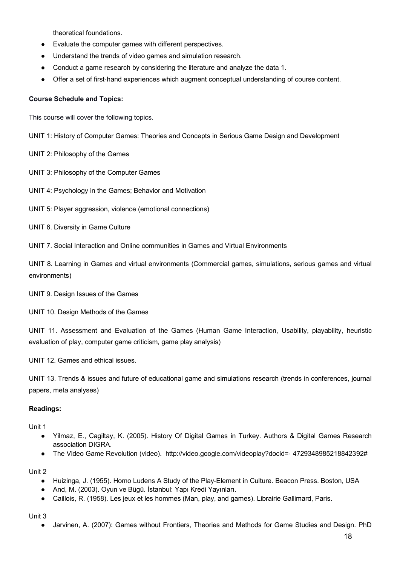theoretical foundations.

- Evaluate the computer games with different perspectives.
- Understand the trends of video games and simulation research.
- Conduct a game research by considering the literature and analyze the data 1.
- Offer a set of first-hand experiences which augment conceptual understanding of course content.

#### **Course Schedule and Topics:**

This course will cover the following topics.

UNIT 1: History of Computer Games: Theories and Concepts in Serious Game Design and Development

UNIT 2: Philosophy of the Games

UNIT 3: Philosophy of the Computer Games

UNIT 4: Psychology in the Games; Behavior and Motivation

UNIT 5: Player aggression, violence (emotional connections)

UNIT 6. Diversity in Game Culture

UNIT 7. Social Interaction and Online communities in Games and Virtual Environments

UNIT 8. Learning in Games and virtual environments (Commercial games, simulations, serious games and virtual environments)

UNIT 9. Design Issues of the Games

UNIT 10. Design Methods of the Games

UNIT 11. Assessment and Evaluation of the Games (Human Game Interaction, Usability, playability, heuristic evaluation of play, computer game criticism, game play analysis)

UNIT 12. Games and ethical issues.

UNIT 13. Trends & issues and future of educational game and simulations research (trends in conferences, journal papers, meta analyses)

#### **Readings:**

Unit 1

- Yilmaz, E., Cagiltay, K. (2005). History Of Digital Games in Turkey. Authors & Digital Games Research association DIGRA.
- The Video Game Revolution (video). http://video.google.com/videoplay?docid=- 4729348985218842392#

Unit 2

- Huizinga, J. (1955). Homo Ludens A Study of the Play-Element in Culture. Beacon Press. Boston, USA
- And, M. (2003). Oyun ve Bügü. İstanbul: Yapı Kredi Yayınları.
- Caillois, R. (1958). Les jeux et les hommes (Man, play, and games). Librairie Gallimard, Paris.

Unit 3

● Jarvinen, A. (2007): Games without Frontiers, Theories and Methods for Game Studies and Design. PhD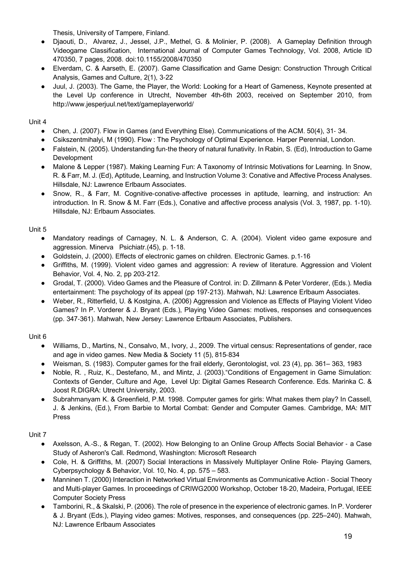Thesis, University of Tampere, Finland.

- Djaouti, D., Alvarez, J., Jessel, J.P., Methel, G. & Molinier, P. (2008). A Gameplay Definition through Videogame Classification, International Journal of Computer Games Technology, Vol. 2008, Article ID 470350, 7 pages, 2008. doi:10.1155/2008/470350
- Elverdam, C. & Aarseth, E. (2007). Game Classification and Game Design: Construction Through Critical Analysis, Games and Culture, 2(1), 3-22
- Juul, J. (2003). The Game, the Player, the World: Looking for a Heart of Gameness, Keynote presented at the Level Up conference in Utrecht, November 4th-6th 2003, received on September 2010, from http://www.jesperjuul.net/text/gameplayerworld/

#### Unit 4

- Chen, J. (2007). Flow in Games (and Everything Else). Communications of the ACM. 50(4), 31- 34.
- Csikszentmihalyi, M (1990). Flow : The Psychology of Optimal Experience. Harper Perennial, London.
- Falstein, N. (2005). Understanding fun-the theory of natural funativity. In Rabin, S. (Ed), Introduction to Game Development
- Malone & Lepper (1987). Making Learning Fun: A Taxonomy of Intrinsic Motivations for Learning. In Snow, R. & Farr, M. J. (Ed), Aptitude, Learning, and Instruction Volume 3: Conative and Affective Process Analyses. Hillsdale, NJ: Lawrence Erlbaum Associates.
- Snow, R., & Farr, M. Cognitive-conative-affective processes in aptitude, learning, and instruction: An introduction. In R. Snow & M. Farr (Eds.), Conative and affective process analysis (Vol. 3, 1987, pp. 1-10). Hillsdale, NJ: Erlbaum Associates.

#### Unit 5

- Mandatory readings of Carnagey, N. L. & Anderson, C. A. (2004). Violent video game exposure and aggression. Minerva Psichiatr.(45), p. 1-18.
- Goldstein, J. (2000). Effects of electronic games on children. Electronic Games. p.1-16
- Griffiths, M. (1999). Violent video games and aggression: A review of literature. Aggression and Violent Behavior, Vol. 4, No. 2, pp 203-212.
- Grodal, T. (2000). Video Games and the Pleasure of Control. in: D. Zillmann & Peter Vorderer, (Eds.). Media entertainment: The psychology of its appeal (pp 197-213). Mahwah, NJ: Lawrence Erlbaum Associates.
- Weber, R., Ritterfield, U. & Kostgina, A. (2006) Aggression and Violence as Effects of Playing Violent Video Games? In P. Vorderer & J. Bryant (Eds.), Playing Video Games: motives, responses and consequences (pp. 347-361). Mahwah, New Jersey: Lawrence Erlbaum Associates, Publishers.

#### Unit 6

- Williams, D., Martins, N., Consalvo, M., Ivory, J., 2009. The virtual census: Representations of gender, race and age in video games. New Media & Society 11 (5), 815-834
- Weisman, S. (1983). Computer games for the frail elderly, Gerontologist, vol. 23 (4), pp. 361– 363, 1983
- Noble, R. , Ruiz, K., Destefano, M., and Mintz, J. (2003)."Conditions of Engagement in Game Simulation: Contexts of Gender, Culture and Age, Level Up: Digital Games Research Conference. Eds. Marinka C. & Joost R.DIGRA: Utrecht University, 2003.
- Subrahmanyam K. & Greenfield, P.M. 1998. Computer games for girls: What makes them play? In Cassell, J. & Jenkins, (Ed.), From Barbie to Mortal Combat: Gender and Computer Games. Cambridge, MA: MIT Press

#### Unit 7

- Axelsson, A.-S., & Regan, T. (2002). How Belonging to an Online Group Affects Social Behavior a Case Study of Asheron's Call. Redmond, Washington: Microsoft Research
- Cole, H. & Griffiths, M. (2007) Social Interactions in Massively Multiplayer Online Role- Playing Gamers, Cyberpsychology & Behavior, Vol. 10, No. 4, pp. 575 – 583.
- Manninen T. (2000) Interaction in Networked Virtual Environments as Communicative Action Social Theory and Multi-player Games. In proceedings of CRIWG2000 Workshop, October 18-20, Madeira, Portugal, IEEE Computer Society Press
- Tamborini, R., & Skalski, P. (2006). The role of presence in the experience of electronic games. In P. Vorderer & J. Bryant (Eds.), Playing video games: Motives, responses, and consequences (pp. 225–240). Mahwah, NJ: Lawrence Erlbaum Associates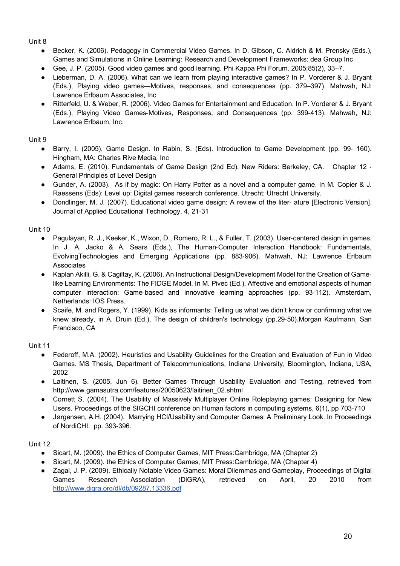Unit 8

- Becker, K. (2006). Pedagogy in Commercial Video Games. In D. Gibson, C. Aldrich & M. Prensky (Eds.), Games and Simulations in Online Learning: Research and Development Frameworks: dea Group Inc
- Gee, J. P. (2005). Good video games and good learning. Phi Kappa Phi Forum. 2005;85(2), 33–7.
- Lieberman, D. A. (2006). What can we learn from playing interactive games? In P. Vorderer & J. Bryant (Eds.), Playing video games—Motives, responses, and consequences (pp. 379–397). Mahwah, NJ: Lawrence Erlbaum Associates, Inc
- Ritterfeld, U. & Weber, R. (2006). Video Games for Entertainment and Education. In P. Vorderer & J. Bryant (Eds.), Playing Video Games-Motives, Responses, and Consequences (pp. 399-413). Mahwah, NJ: Lawrence Erlbaum, Inc.

Unit 9

- Barry, I. (2005). Game Design. In Rabin, S. (Eds). Introduction to Game Development (pp. 99- 160). Hingham, MA: Charles Rive Media, Inc
- Adams, E. (2010). Fundamentals of Game Design (2nd Ed). New Riders: Berkeley, CA. Chapter 12 -General Principles of Level Design
- Gunder, A. (2003). As if by magic: On Harry Potter as a novel and a computer game. In M. Copier & J. Raessens (Eds): Level up: Digital games research conference. Utrecht: Utrecht University.
- Dondlinger, M. J. (2007). Educational video game design: A review of the liter- ature [Electronic Version]. Journal of Applied Educational Technology, 4, 21-31

Unit 10

- Pagulayan, R. J., Keeker, K., Wixon, D., Romero, R. L., & Fuller, T. (2003). User-centered design in games. In J. A. Jacko & A. Sears (Eds.), The Human-Computer Interaction Handbook: Fundamentals, EvolvingTechnologies and Emerging Applications (pp. 883-906). Mahwah, NJ: Lawrence Erlbaum Associates
- Kaplan Akilli, G. & Cagiltay, K. (2006). An Instructional Design/Development Model for the Creation of Gamelike Learning Environments: The FIDGE Model, In M. Pivec (Ed.), Affective and emotional aspects of human computer interaction: Game-based and innovative learning approaches (pp. 93-112). Amsterdam, Netherlands: IOS Press.
- Scaife, M. and Rogers, Y. (1999). Kids as informants: Telling us what we didn't know or confirming what we knew already, in A. Druin (Ed.), The design of children's technology (pp.29-50).Morgan Kaufmann, San Francisco, CA

Unit 11

- Federoff, M.A. (2002). Heuristics and Usability Guidelines for the Creation and Evaluation of Fun in Video Games. MS Thesis, Department of Telecommunications, Indiana University, Bloomington, Indiana, USA, 2002
- Laitinen, S. (2005, Jun 6). Better Games Through Usability Evaluation and Testing. retrieved from http://www.gamasutra.com/features/20050623/laitinen\_02.shtml
- Cornett S. (2004). The Usability of Massively Multiplayer Online Roleplaying games: Designing for New Users. Proceedings of the SIGCHI conference on Human factors in computing systems, 6(1), pp 703-710
- Jørgensen, A.H. (2004). Marrying HCI/Usability and Computer Games: A Preliminary Look. In Proceedings of NordiCHI. pp. 393-396.

Unit 12

- Sicart, M. (2009). the Ethics of Computer Games, MIT Press:Cambridge, MA (Chapter 2)
- Sicart, M. (2009). the Ethics of Computer Games, MIT Press:Cambridge, MA (Chapter 4)
- Zagal, J. P. (2009). Ethically Notable Video Games: Moral Dilemmas and Gameplay, Proceedings of Digital Games Research Association (DiGRA), retrieved on April, 20 2010 from http://www.digra.org/dl/db/09287.13336.pdf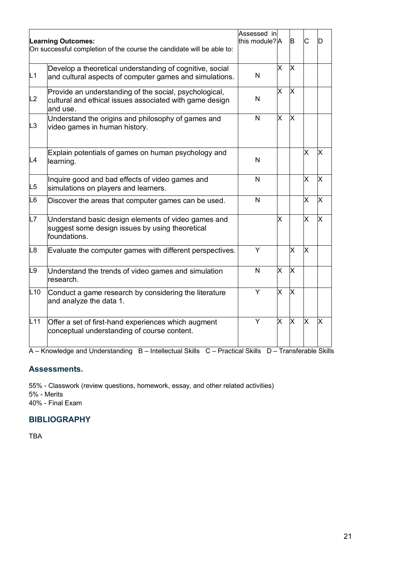|                | <b>Learning Outcomes:</b><br>On successful completion of the course the candidate will be able to:                            | Assessed in<br>this module?lA |          | B                       | С        | רו |
|----------------|-------------------------------------------------------------------------------------------------------------------------------|-------------------------------|----------|-------------------------|----------|----|
| L1             | Develop a theoretical understanding of cognitive, social<br>and cultural aspects of computer games and simulations.           | N                             | X        | X                       |          |    |
| L2             | Provide an understanding of the social, psychological,<br>cultural and ethical issues associated with game design<br>and use. | N                             | $\times$ | X                       |          |    |
| L <sub>3</sub> | Understand the origins and philosophy of games and<br>video games in human history.                                           | N                             | X        | $\times$                |          |    |
| L4             | Explain potentials of games on human psychology and<br>learning.                                                              | N                             |          |                         | X        | X  |
| L5             | Inquire good and bad effects of video games and<br>simulations on players and learners.                                       | N                             |          |                         | X        | X  |
| L <sub>6</sub> | Discover the areas that computer games can be used.                                                                           | N                             |          |                         | x        | X  |
| L7             | Understand basic design elements of video games and<br>suggest some design issues by using theoretical<br>foundations.        |                               | X        |                         | X        | X  |
| L <sub>8</sub> | Evaluate the computer games with different perspectives.                                                                      | Y                             |          | $\overline{\mathsf{x}}$ | $\times$ |    |
| L <sub>9</sub> | Understand the trends of video games and simulation<br>research.                                                              | N                             | x        | X                       |          |    |
| L10            | Conduct a game research by considering the literature<br>and analyze the data 1.                                              | Y                             | X        | $\times$                |          |    |
| L11            | Offer a set of first-hand experiences which augment<br>conceptual understanding of course content.                            | Y                             | $\times$ | $\times$                | Ιx       | x  |

A – Knowledge and Understanding B – Intellectual Skills C – Practical Skills D – Transferable Skills

# **Assessments.**

55% - Classwork (review questions, homework, essay, and other related activities) 5% - Merits 40% - Final Exam

# **BIBLIOGRAPHY**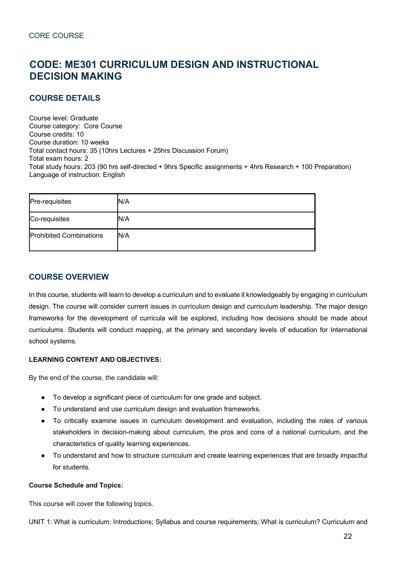# **CODE: ME301 CURRICULUM DESIGN AND INSTRUCTIONAL DECISION MAKING**

# **COURSE DETAILS**

Course level: Graduate Course category: Core Course Course credits: 10 Course duration: 10 weeks Total contact hours: 35 (10hrs Lectures + 25hrs Discussion Forum) Total exam hours: 2 Total study hours: 203 (90 hrs self-directed + 9hrs Specific assignments + 4hrs Research + 100 Preparation) Language of instruction: English

| Pre-requisites                 | N/A |
|--------------------------------|-----|
| Co-requisites                  | N/A |
| <b>Prohibited Combinations</b> | N/A |

# **COURSE OVERVIEW**

In this course, students will learn to develop a curriculum and to evaluate it knowledgeably by engaging in curriculum design. The course will consider current issues in curriculum design and curriculum leadership. The major design frameworks for the development of curricula will be explored, including how decisions should be made about curriculums. Students will conduct mapping, at the primary and secondary levels of education for International school systems.

#### **LEARNING CONTENT AND OBJECTIVES:**

By the end of the course, the candidate will:

- To develop a significant piece of curriculum for one grade and subject.
- To understand and use curriculum design and evaluation frameworks.
- To critically examine issues in curriculum development and evaluation, including the roles of various stakeholders in decision-making about curriculum, the pros and cons of a national curriculum, and the characteristics of quality learning experiences.
- To understand and how to structure curriculum and create learning experiences that are broadly impactful for students.

#### **Course Schedule and Topics:**

This course will cover the following topics.

UNIT 1: What is curriculum: Introductions; Syllabus and course requirements; What is curriculum? Curriculum and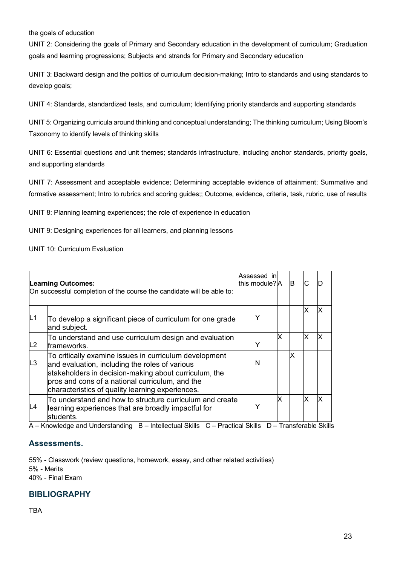the goals of education

UNIT 2: Considering the goals of Primary and Secondary education in the development of curriculum; Graduation goals and learning progressions; Subjects and strands for Primary and Secondary education

UNIT 3: Backward design and the politics of curriculum decision-making; Intro to standards and using standards to develop goals;

UNIT 4: Standards, standardized tests, and curriculum; Identifying priority standards and supporting standards

UNIT 5: Organizing curricula around thinking and conceptual understanding; The thinking curriculum; Using Bloom's Taxonomy to identify levels of thinking skills

UNIT 6: Essential questions and unit themes; standards infrastructure, including anchor standards, priority goals, and supporting standards

UNIT 7: Assessment and acceptable evidence; Determining acceptable evidence of attainment; Summative and formative assessment; Intro to rubrics and scoring guides;; Outcome, evidence, criteria, task, rubric, use of results

UNIT 8: Planning learning experiences; the role of experience in education

UNIT 9: Designing experiences for all learners, and planning lessons

UNIT 10: Curriculum Evaluation

|                | <b>Learning Outcomes:</b><br>On successful completion of the course the candidate will be able to:                                                                                                                                                                       | Assessed in<br>this module? A |    | IB |   |  |
|----------------|--------------------------------------------------------------------------------------------------------------------------------------------------------------------------------------------------------------------------------------------------------------------------|-------------------------------|----|----|---|--|
| L <sub>1</sub> | To develop a significant piece of curriculum for one grade<br>and subject.                                                                                                                                                                                               |                               |    |    |   |  |
| L2             | To understand and use curriculum design and evaluation<br>frameworks.                                                                                                                                                                                                    | Y                             | Ιx |    | x |  |
| L3             | To critically examine issues in curriculum development<br>and evaluation, including the roles of various<br>stakeholders in decision-making about curriculum, the<br>pros and cons of a national curriculum, and the<br>characteristics of quality learning experiences. | N                             |    | x  |   |  |
| L4             | To understand and how to structure curriculum and create<br>learning experiences that are broadly impactful for<br>students.                                                                                                                                             | v                             | x  |    |   |  |

A – Knowledge and Understanding B – Intellectual Skills C – Practical Skills D – Transferable Skills

#### **Assessments.**

55% - Classwork (review questions, homework, essay, and other related activities) 5% - Merits 40% - Final Exam

#### **BIBLIOGRAPHY**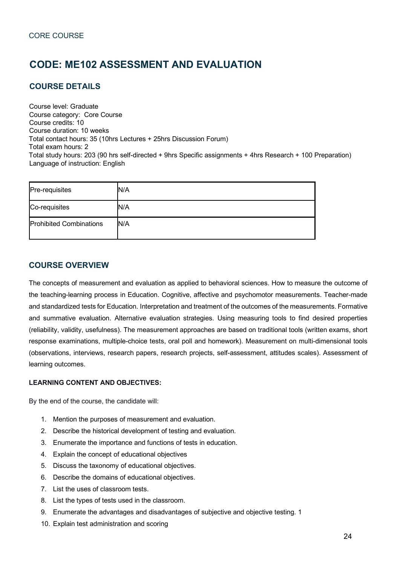# **CODE: ME102 ASSESSMENT AND EVALUATION**

# **COURSE DETAILS**

Course level: Graduate Course category: Core Course Course credits: 10 Course duration: 10 weeks Total contact hours: 35 (10hrs Lectures + 25hrs Discussion Forum) Total exam hours: 2 Total study hours: 203 (90 hrs self-directed + 9hrs Specific assignments + 4hrs Research + 100 Preparation) Language of instruction: English

| Pre-requisites                 | N/A |
|--------------------------------|-----|
| Co-requisites                  | N/A |
| <b>Prohibited Combinations</b> | N/A |

# **COURSE OVERVIEW**

The concepts of measurement and evaluation as applied to behavioral sciences. How to measure the outcome of the teaching-learning process in Education. Cognitive, affective and psychomotor measurements. Teacher-made and standardized tests for Education. Interpretation and treatment of the outcomes of the measurements. Formative and summative evaluation. Alternative evaluation strategies. Using measuring tools to find desired properties (reliability, validity, usefulness). The measurement approaches are based on traditional tools (written exams, short response examinations, multiple-choice tests, oral poll and homework). Measurement on multi-dimensional tools (observations, interviews, research papers, research projects, self-assessment, attitudes scales). Assessment of learning outcomes.

#### **LEARNING CONTENT AND OBJECTIVES:**

By the end of the course, the candidate will:

- 1. Mention the purposes of measurement and evaluation.
- 2. Describe the historical development of testing and evaluation.
- 3. Enumerate the importance and functions of tests in education.
- 4. Explain the concept of educational objectives
- 5. Discuss the taxonomy of educational objectives.
- 6. Describe the domains of educational objectives.
- 7. List the uses of classroom tests.
- 8. List the types of tests used in the classroom.
- 9. Enumerate the advantages and disadvantages of subjective and objective testing. 1
- 10. Explain test administration and scoring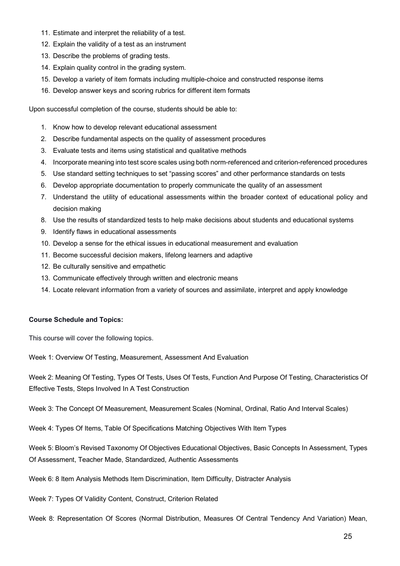- 11. Estimate and interpret the reliability of a test.
- 12. Explain the validity of a test as an instrument
- 13. Describe the problems of grading tests.
- 14. Explain quality control in the grading system.
- 15. Develop a variety of item formats including multiple-choice and constructed response items
- 16. Develop answer keys and scoring rubrics for different item formats

Upon successful completion of the course, students should be able to:

- 1. Know how to develop relevant educational assessment
- 2. Describe fundamental aspects on the quality of assessment procedures
- 3. Evaluate tests and items using statistical and qualitative methods
- 4. Incorporate meaning into test score scales using both norm-referenced and criterion-referenced procedures
- 5. Use standard setting techniques to set "passing scores" and other performance standards on tests
- 6. Develop appropriate documentation to properly communicate the quality of an assessment
- 7. Understand the utility of educational assessments within the broader context of educational policy and decision making
- 8. Use the results of standardized tests to help make decisions about students and educational systems
- 9. Identify flaws in educational assessments
- 10. Develop a sense for the ethical issues in educational measurement and evaluation
- 11. Become successful decision makers, lifelong learners and adaptive
- 12. Be culturally sensitive and empathetic
- 13. Communicate effectively through written and electronic means
- 14. Locate relevant information from a variety of sources and assimilate, interpret and apply knowledge

#### **Course Schedule and Topics:**

This course will cover the following topics.

Week 1: Overview Of Testing, Measurement, Assessment And Evaluation

Week 2: Meaning Of Testing, Types Of Tests, Uses Of Tests, Function And Purpose Of Testing, Characteristics Of Effective Tests, Steps Involved In A Test Construction

Week 3: The Concept Of Measurement, Measurement Scales (Nominal, Ordinal, Ratio And Interval Scales)

Week 4: Types Of Items, Table Of Specifications Matching Objectives With Item Types

Week 5: Bloom's Revised Taxonomy Of Objectives Educational Objectives, Basic Concepts In Assessment, Types Of Assessment, Teacher Made, Standardized, Authentic Assessments

- Week 6: 8 Item Analysis Methods Item Discrimination, Item Difficulty, Distracter Analysis
- Week 7: Types Of Validity Content, Construct, Criterion Related
- Week 8: Representation Of Scores (Normal Distribution, Measures Of Central Tendency And Variation) Mean,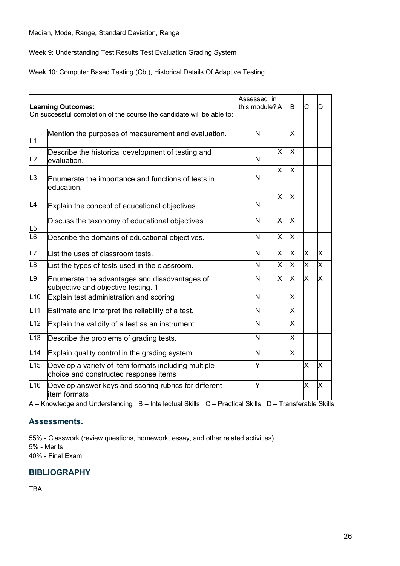Week 9: Understanding Test Results Test Evaluation Grading System

Week 10: Computer Based Testing (Cbt), Historical Details Of Adaptive Testing

|                | <b>Learning Outcomes:</b><br>On successful completion of the course the candidate will be able to: | Assessed in<br>this module?A |    | B                       | C | D                       |
|----------------|----------------------------------------------------------------------------------------------------|------------------------------|----|-------------------------|---|-------------------------|
| L1             | Mention the purposes of measurement and evaluation.                                                | $\overline{\mathsf{N}}$      |    | X                       |   |                         |
| L2             | Describe the historical development of testing and<br>evaluation.                                  | N                            | X  | X                       |   |                         |
| L <sub>3</sub> | Enumerate the importance and functions of tests in<br>education.                                   | N                            | X  | $\times$                |   |                         |
| L4             | Explain the concept of educational objectives                                                      | $\mathsf{N}$                 | X  | X                       |   |                         |
| L5             | Discuss the taxonomy of educational objectives.                                                    | N                            | X  | X                       |   |                         |
| L6             | Describe the domains of educational objectives.                                                    | N                            | X  | X                       |   |                         |
| L7             | List the uses of classroom tests.                                                                  | N                            | X. | X                       | X | X                       |
| L <sub>8</sub> | List the types of tests used in the classroom.                                                     | N                            | X. | X                       | X | $\overline{\mathsf{x}}$ |
| L <sub>9</sub> | Enumerate the advantages and disadvantages of<br>subjective and objective testing. 1               | N                            | X  | X                       | X | X                       |
| L10            | Explain test administration and scoring                                                            | N                            |    | $\times$                |   |                         |
| L11            | Estimate and interpret the reliability of a test.                                                  | N                            |    | X                       |   |                         |
| L12            | Explain the validity of a test as an instrument                                                    | N                            |    | X.                      |   |                         |
| L13            | Describe the problems of grading tests.                                                            | N                            |    | $\overline{\mathsf{x}}$ |   |                         |
| L14            | Explain quality control in the grading system.                                                     | N                            |    | $\mathsf{X}$            |   |                         |
| L15            | Develop a variety of item formats including multiple-<br>choice and constructed response items     | Y                            |    |                         | X | X                       |
| L16            | Develop answer keys and scoring rubrics for different<br>litem formats                             | Y                            |    |                         | X | X                       |

A – Knowledge and Understanding B – Intellectual Skills C – Practical Skills D – Transferable Skills

# **Assessments.**

55% - Classwork (review questions, homework, essay, and other related activities)

5% - Merits

40% - Final Exam

# **BIBLIOGRAPHY**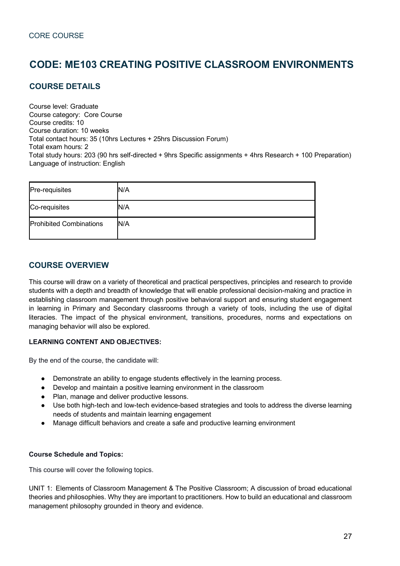# **CODE: ME103 CREATING POSITIVE CLASSROOM ENVIRONMENTS**

# **COURSE DETAILS**

Course level: Graduate Course category: Core Course Course credits: 10 Course duration: 10 weeks Total contact hours: 35 (10hrs Lectures + 25hrs Discussion Forum) Total exam hours: 2 Total study hours: 203 (90 hrs self-directed + 9hrs Specific assignments + 4hrs Research + 100 Preparation) Language of instruction: English

| Pre-requisites                 | N/A |
|--------------------------------|-----|
| Co-requisites                  | N/A |
| <b>Prohibited Combinations</b> | N/A |

# **COURSE OVERVIEW**

This course will draw on a variety of theoretical and practical perspectives, principles and research to provide students with a depth and breadth of knowledge that will enable professional decision-making and practice in establishing classroom management through positive behavioral support and ensuring student engagement in learning in Primary and Secondary classrooms through a variety of tools, including the use of digital literacies. The impact of the physical environment, transitions, procedures, norms and expectations on managing behavior will also be explored.

#### **LEARNING CONTENT AND OBJECTIVES:**

By the end of the course, the candidate will:

- Demonstrate an ability to engage students effectively in the learning process.
- Develop and maintain a positive learning environment in the classroom
- Plan, manage and deliver productive lessons.
- Use both high-tech and low-tech evidence-based strategies and tools to address the diverse learning needs of students and maintain learning engagement
- Manage difficult behaviors and create a safe and productive learning environment

#### **Course Schedule and Topics:**

This course will cover the following topics.

UNIT 1:  Elements of Classroom Management & The Positive Classroom; A discussion of broad educational theories and philosophies. Why they are important to practitioners. How to build an educational and classroom management philosophy grounded in theory and evidence.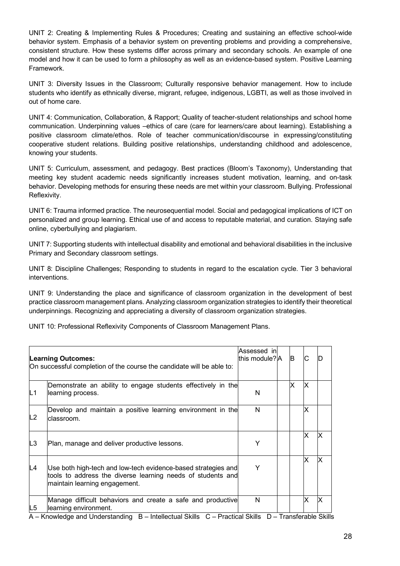UNIT 2: Creating & Implementing Rules & Procedures; Creating and sustaining an effective school-wide behavior system. Emphasis of a behavior system on preventing problems and providing a comprehensive, consistent structure. How these systems differ across primary and secondary schools. An example of one model and how it can be used to form a philosophy as well as an evidence-based system. Positive Learning Framework.

UNIT 3: Diversity Issues in the Classroom; Culturally responsive behavior management. How to include students who identify as ethnically diverse, migrant, refugee, indigenous, LGBTI, as well as those involved in out of home care.

UNIT 4: Communication, Collaboration, & Rapport; Quality of teacher-student relationships and school home communication. Underpinning values –ethics of care (care for learners/care about learning). Establishing a positive classroom climate/ethos. Role of teacher communication/discourse in expressing/constituting cooperative student relations. Building positive relationships, understanding childhood and adolescence, knowing your students.

UNIT 5: Curriculum, assessment, and pedagogy. Best practices (Bloom's Taxonomy), Understanding that meeting key student academic needs significantly increases student motivation, learning, and on-task behavior. Developing methods for ensuring these needs are met within your classroom. Bullying. Professional Reflexivity.

UNIT 6: Trauma informed practice. The neurosequential model. Social and pedagogical implications of ICT on personalized and group learning. Ethical use of and access to reputable material, and curation. Staying safe online, cyberbullying and plagiarism.

UNIT 7: Supporting students with intellectual disability and emotional and behavioral disabilities in the inclusive Primary and Secondary classroom settings.

UNIT 8: Discipline Challenges; Responding to students in regard to the escalation cycle. Tier 3 behavioral interventions.

UNIT 9: Understanding the place and significance of classroom organization in the development of best practice classroom management plans. Analyzing classroom organization strategies to identify their theoretical underpinnings. Recognizing and appreciating a diversity of classroom organization strategies.

UNIT 10: Professional Reflexivity Components of Classroom Management Plans.

|                | <b>Learning Outcomes:</b><br>On successful completion of the course the candidate will be able to:                                                                                      | Assessed in<br>this module? A | B |    |  |
|----------------|-----------------------------------------------------------------------------------------------------------------------------------------------------------------------------------------|-------------------------------|---|----|--|
| IL1            | Demonstrate an ability to engage students effectively in the<br>learning process.                                                                                                       | N                             | X | ΙX |  |
| L2             | Develop and maintain a positive learning environment in the<br>lclassroom.                                                                                                              | N                             |   | ΙX |  |
| L <sub>3</sub> | Plan, manage and deliver productive lessons.                                                                                                                                            | Υ                             |   | ΙX |  |
| L4             | Use both high-tech and low-tech evidence-based strategies and<br>tools to address the diverse learning needs of students and<br>maintain learning engagement.                           | Y                             |   | ΙX |  |
| L5             | Manage difficult behaviors and create a safe and productive<br>learning environment.<br>Knowledge and Understanding D. Intellectual Okille, C. Drestical Okille, D. Transforable Okilli | N                             |   |    |  |

A – Knowledge and Understanding B – Intellectual Skills C – Practical Skills D – Transferable Skills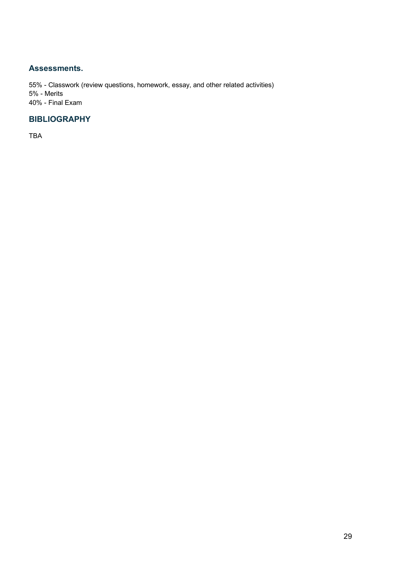## **Assessments.**

55% - Classwork (review questions, homework, essay, and other related activities) 5% - Merits 40% - Final Exam

# **BIBLIOGRAPHY**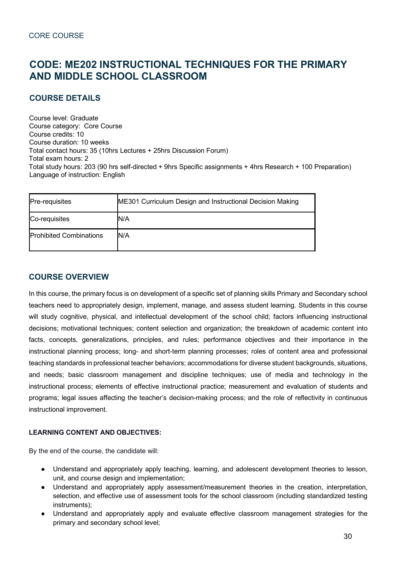# **CODE: ME202 INSTRUCTIONAL TECHNIQUES FOR THE PRIMARY AND MIDDLE SCHOOL CLASSROOM**

# **COURSE DETAILS**

Course level: Graduate Course category: Core Course Course credits: 10 Course duration: 10 weeks Total contact hours: 35 (10hrs Lectures + 25hrs Discussion Forum) Total exam hours: 2 Total study hours: 203 (90 hrs self-directed + 9hrs Specific assignments + 4hrs Research + 100 Preparation) Language of instruction: English

| <b>Pre-requisites</b>          | ME301 Curriculum Design and Instructional Decision Making |
|--------------------------------|-----------------------------------------------------------|
| Co-requisites                  | N/A                                                       |
| <b>Prohibited Combinations</b> | N/A                                                       |

# **COURSE OVERVIEW**

In this course, the primary focus is on development of a specific set of planning skills Primary and Secondary school teachers need to appropriately design, implement, manage, and assess student learning. Students in this course will study cognitive, physical, and intellectual development of the school child; factors influencing instructional decisions; motivational techniques; content selection and organization; the breakdown of academic content into facts, concepts, generalizations, principles, and rules; performance objectives and their importance in the instructional planning process; long- and short-term planning processes; roles of content area and professional teaching standards in professional teacher behaviors; accommodations for diverse student backgrounds, situations, and needs; basic classroom management and discipline techniques; use of media and technology in the instructional process; elements of effective instructional practice; measurement and evaluation of students and programs; legal issues affecting the teacher's decision-making process; and the role of reflectivity in continuous instructional improvement.

#### **LEARNING CONTENT AND OBJECTIVES:**

By the end of the course, the candidate will:

- Understand and appropriately apply teaching, learning, and adolescent development theories to lesson, unit, and course design and implementation;
- Understand and appropriately apply assessment/measurement theories in the creation, interpretation, selection, and effective use of assessment tools for the school classroom (including standardized testing instruments);
- Understand and appropriately apply and evaluate effective classroom management strategies for the primary and secondary school level;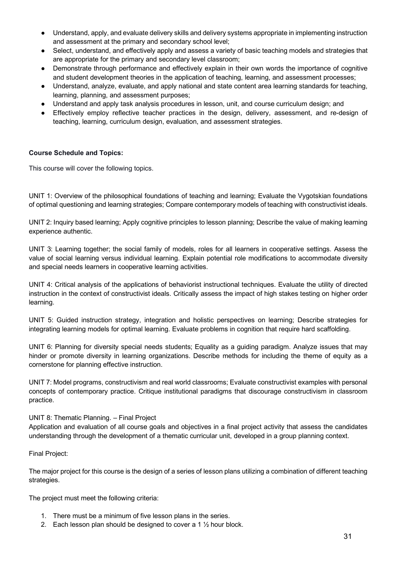- Understand, apply, and evaluate delivery skills and delivery systems appropriate in implementing instruction and assessment at the primary and secondary school level;
- Select, understand, and effectively apply and assess a variety of basic teaching models and strategies that are appropriate for the primary and secondary level classroom;
- Demonstrate through performance and effectively explain in their own words the importance of cognitive and student development theories in the application of teaching, learning, and assessment processes;
- Understand, analyze, evaluate, and apply national and state content area learning standards for teaching, learning, planning, and assessment purposes;
- Understand and apply task analysis procedures in lesson, unit, and course curriculum design; and
- Effectively employ reflective teacher practices in the design, delivery, assessment, and re-design of teaching, learning, curriculum design, evaluation, and assessment strategies.

#### **Course Schedule and Topics:**

This course will cover the following topics.

UNIT 1: Overview of the philosophical foundations of teaching and learning; Evaluate the Vygotskian foundations of optimal questioning and learning strategies; Compare contemporary models of teaching with constructivist ideals.

UNIT 2: Inquiry based learning; Apply cognitive principles to lesson planning; Describe the value of making learning experience authentic.

UNIT 3: Learning together; the social family of models, roles for all learners in cooperative settings. Assess the value of social learning versus individual learning. Explain potential role modifications to accommodate diversity and special needs learners in cooperative learning activities.

UNIT 4: Critical analysis of the applications of behaviorist instructional techniques. Evaluate the utility of directed instruction in the context of constructivist ideals. Critically assess the impact of high stakes testing on higher order learning.

UNIT 5: Guided instruction strategy, integration and holistic perspectives on learning; Describe strategies for integrating learning models for optimal learning. Evaluate problems in cognition that require hard scaffolding.

UNIT 6: Planning for diversity special needs students; Equality as a guiding paradigm. Analyze issues that may hinder or promote diversity in learning organizations. Describe methods for including the theme of equity as a cornerstone for planning effective instruction.

UNIT 7: Model programs, constructivism and real world classrooms; Evaluate constructivist examples with personal concepts of contemporary practice. Critique institutional paradigms that discourage constructivism in classroom practice.

#### UNIT 8: Thematic Planning. – Final Project

Application and evaluation of all course goals and objectives in a final project activity that assess the candidates understanding through the development of a thematic curricular unit, developed in a group planning context.

#### Final Project:

The major project for this course is the design of a series of lesson plans utilizing a combination of different teaching strategies.

The project must meet the following criteria:

- 1. There must be a minimum of five lesson plans in the series.
- 2. Each lesson plan should be designed to cover a 1 ½ hour block.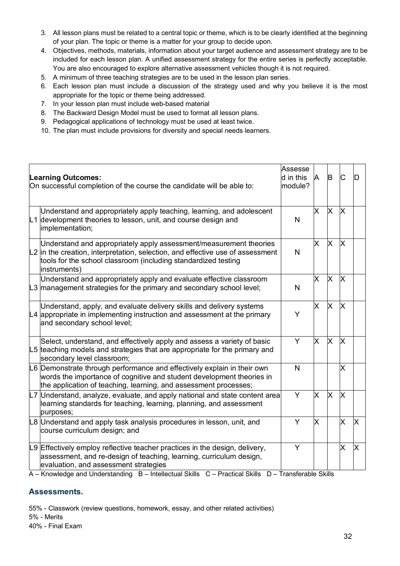- 3. All lesson plans must be related to a central topic or theme, which is to be clearly identified at the beginning of your plan. The topic or theme is a matter for your group to decide upon.
- 4. Objectives, methods, materials, information about your target audience and assessment strategy are to be included for each lesson plan. A unified assessment strategy for the entire series is perfectly acceptable. You are also encouraged to explore alternative assessment vehicles though it is not required.
- 5. A minimum of three teaching strategies are to be used in the lesson plan series.
- 6. Each lesson plan must include a discussion of the strategy used and why you believe it is the most appropriate for the topic or theme being addressed.
- 7. In your lesson plan must include web-based material
- 8. The Backward Design Model must be used to format all lesson plans.
- 9. Pedagogical applications of technology must be used at least twice.
- 10. The plan must include provisions for diversity and special needs learners.

| <b>Learning Outcomes:</b><br>On successful completion of the course the candidate will be able to:                                                                                                                                                                                                                                                                            | Assesse<br>d in this<br>module? | A  | B | C        | ID |
|-------------------------------------------------------------------------------------------------------------------------------------------------------------------------------------------------------------------------------------------------------------------------------------------------------------------------------------------------------------------------------|---------------------------------|----|---|----------|----|
| Understand and appropriately apply teaching, learning, and adolescent<br>L1 development theories to lesson, unit, and course design and<br>implementation;                                                                                                                                                                                                                    | N                               | X. | X | <b>X</b> |    |
| Understand and appropriately apply assessment/measurement theories<br>$\lfloor 2 \rfloor$ in the creation, interpretation, selection, and effective use of assessment<br>tools for the school classroom (including standardized testing<br>instruments)                                                                                                                       | $\mathsf{N}$                    | X  | X | X        |    |
| Understand and appropriately apply and evaluate effective classroom<br>$\vert$ L3 $\vert$ management strategies for the primary and secondary school level;                                                                                                                                                                                                                   | $\mathsf{N}$                    | X  | X | X        |    |
| Understand, apply, and evaluate delivery skills and delivery systems<br>$\mathsf{L}4$ appropriate in implementing instruction and assessment at the primary<br>and secondary school level;                                                                                                                                                                                    | Y                               | X  | X | X        |    |
| Select, understand, and effectively apply and assess a variety of basic<br>L5 teaching models and strategies that are appropriate for the primary and<br>secondary level classroom;                                                                                                                                                                                           | Y                               | X  | X | X        |    |
| L6 Demonstrate through performance and effectively explain in their own<br>words the importance of cognitive and student development theories in<br>the application of teaching, learning, and assessment processes;                                                                                                                                                          | N                               |    |   | X        |    |
| L7 Understand, analyze, evaluate, and apply national and state content area<br>learning standards for teaching, learning, planning, and assessment<br>purposes;                                                                                                                                                                                                               | Y                               | X  | X | X        |    |
| L8 Understand and apply task analysis procedures in lesson, unit, and<br>course curriculum design; and                                                                                                                                                                                                                                                                        | Y                               | X  |   | X        | X  |
| L9 Effectively employ reflective teacher practices in the design, delivery,<br>assessment, and re-design of teaching, learning, curriculum design,<br>evaluation, and assessment strategies<br>$\mathbf{1} \mathbf{Z}$ and $\mathbf{Z}$ are the set of $\mathbf{I}$ and $\mathbf{I}$ are the set of $\mathbf{I}$ and $\mathbf{I}$ are $\mathbf{I}$ and $\mathbf{I}$<br>1.0111 | Y                               |    |   | X        | X  |

A – Knowledge and Understanding B – Intellectual Skills C – Practical Skills D – Transferable Skills

# **Assessments.**

55% - Classwork (review questions, homework, essay, and other related activities)

5% - Merits

40% - Final Exam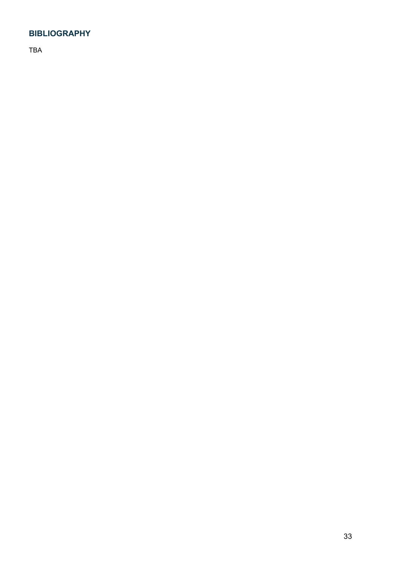# **BIBLIOGRAPHY**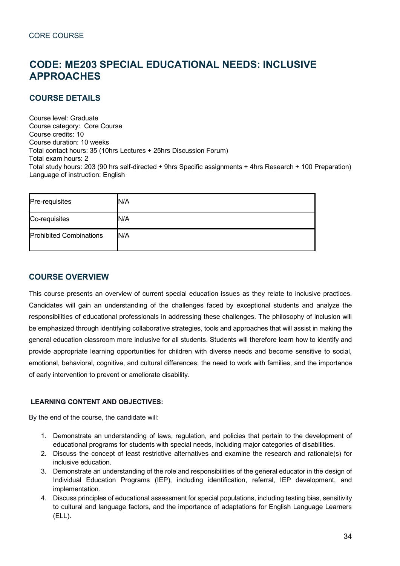# **CODE: ME203 SPECIAL EDUCATIONAL NEEDS: INCLUSIVE APPROACHES**

# **COURSE DETAILS**

Course level: Graduate Course category: Core Course Course credits: 10 Course duration: 10 weeks Total contact hours: 35 (10hrs Lectures + 25hrs Discussion Forum) Total exam hours: 2 Total study hours: 203 (90 hrs self-directed + 9hrs Specific assignments + 4hrs Research + 100 Preparation) Language of instruction: English

| Pre-requisites                 | N/A |
|--------------------------------|-----|
| Co-requisites                  | N/A |
| <b>Prohibited Combinations</b> | N/A |

# **COURSE OVERVIEW**

This course presents an overview of current special education issues as they relate to inclusive practices. Candidates will gain an understanding of the challenges faced by exceptional students and analyze the responsibilities of educational professionals in addressing these challenges. The philosophy of inclusion will be emphasized through identifying collaborative strategies, tools and approaches that will assist in making the general education classroom more inclusive for all students. Students will therefore learn how to identify and provide appropriate learning opportunities for children with diverse needs and become sensitive to social, emotional, behavioral, cognitive, and cultural differences; the need to work with families, and the importance of early intervention to prevent or ameliorate disability.

#### **LEARNING CONTENT AND OBJECTIVES:**

By the end of the course, the candidate will:

- 1. Demonstrate an understanding of laws, regulation, and policies that pertain to the development of educational programs for students with special needs, including major categories of disabilities.
- 2. Discuss the concept of least restrictive alternatives and examine the research and rationale(s) for inclusive education.
- 3. Demonstrate an understanding of the role and responsibilities of the general educator in the design of Individual Education Programs (IEP), including identification, referral, IEP development, and implementation.
- 4. Discuss principles of educational assessment for special populations, including testing bias, sensitivity to cultural and language factors, and the importance of adaptations for English Language Learners (ELL).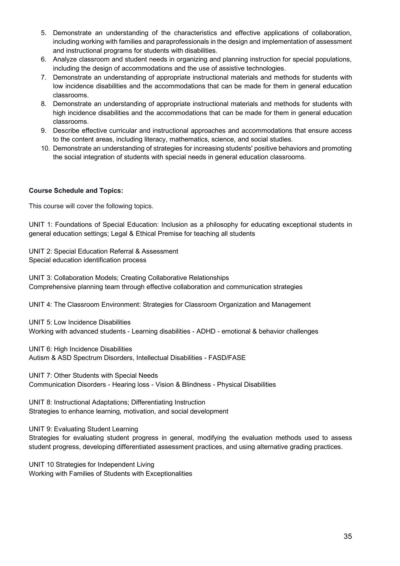- 5. Demonstrate an understanding of the characteristics and effective applications of collaboration, including working with families and paraprofessionals in the design and implementation of assessment and instructional programs for students with disabilities.
- 6. Analyze classroom and student needs in organizing and planning instruction for special populations, including the design of accommodations and the use of assistive technologies.
- 7. Demonstrate an understanding of appropriate instructional materials and methods for students with low incidence disabilities and the accommodations that can be made for them in general education classrooms.
- 8. Demonstrate an understanding of appropriate instructional materials and methods for students with high incidence disabilities and the accommodations that can be made for them in general education classrooms.
- 9. Describe effective curricular and instructional approaches and accommodations that ensure access to the content areas, including literacy, mathematics, science, and social studies.
- 10. Demonstrate an understanding of strategies for increasing students' positive behaviors and promoting the social integration of students with special needs in general education classrooms.

#### **Course Schedule and Topics:**

This course will cover the following topics.

UNIT 1: Foundations of Special Education: Inclusion as a philosophy for educating exceptional students in general education settings; Legal & Ethical Premise for teaching all students

UNIT 2: Special Education Referral & Assessment Special education identification process

UNIT 3: Collaboration Models; Creating Collaborative Relationships Comprehensive planning team through effective collaboration and communication strategies

UNIT 4: The Classroom Environment: Strategies for Classroom Organization and Management

UNIT 5: Low Incidence Disabilities Working with advanced students - Learning disabilities - ADHD - emotional & behavior challenges

UNIT 6: High Incidence Disabilities Autism & ASD Spectrum Disorders, Intellectual Disabilities - FASD/FASE

UNIT 7: Other Students with Special Needs Communication Disorders - Hearing loss - Vision & Blindness - Physical Disabilities

UNIT 8: Instructional Adaptations; Differentiating Instruction Strategies to enhance learning, motivation, and social development

UNIT 9: Evaluating Student Learning

Strategies for evaluating student progress in general, modifying the evaluation methods used to assess student progress, developing differentiated assessment practices, and using alternative grading practices.

UNIT 10 Strategies for Independent Living Working with Families of Students with Exceptionalities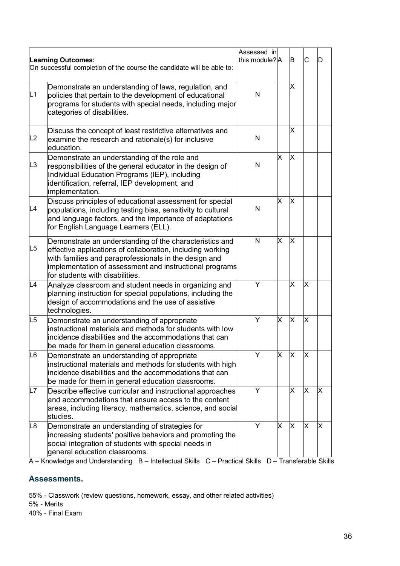|                |                                                                                                                                                                                                                                                                              | Assessed in    |   |          |   |   |
|----------------|------------------------------------------------------------------------------------------------------------------------------------------------------------------------------------------------------------------------------------------------------------------------------|----------------|---|----------|---|---|
|                | <b>Learning Outcomes:</b><br>On successful completion of the course the candidate will be able to:                                                                                                                                                                           | this module? A |   | B        | C | D |
| L1             | Demonstrate an understanding of laws, regulation, and<br>policies that pertain to the development of educational<br>programs for students with special needs, including major<br>categories of disabilities.                                                                 | N              |   | X        |   |   |
| L2             | Discuss the concept of least restrictive alternatives and<br>examine the research and rationale(s) for inclusive<br>education.                                                                                                                                               | N              |   | X.       |   |   |
| L <sub>3</sub> | Demonstrate an understanding of the role and<br>responsibilities of the general educator in the design of<br>Individual Education Programs (IEP), including<br>identification, referral, IEP development, and<br>implementation.                                             | N              | Χ | X        |   |   |
| L4             | Discuss principles of educational assessment for special<br>populations, including testing bias, sensitivity to cultural<br>and language factors, and the importance of adaptations<br>for English Language Learners (ELL).                                                  | N              | Х | X        |   |   |
| L <sub>5</sub> | Demonstrate an understanding of the characteristics and<br>effective applications of collaboration, including working<br>with families and paraprofessionals in the design and<br>implementation of assessment and instructional programs<br>for students with disabilities. | N              | X | X        |   |   |
| L <sub>4</sub> | Analyze classroom and student needs in organizing and<br>planning instruction for special populations, including the<br>design of accommodations and the use of assistive<br>technologies.                                                                                   | Y              |   | $\times$ | X |   |
| L <sub>5</sub> | Demonstrate an understanding of appropriate<br>instructional materials and methods for students with low<br>incidence disabilities and the accommodations that can<br>be made for them in general education classrooms.                                                      | Υ              | X | X        | X |   |
| L <sub>6</sub> | Demonstrate an understanding of appropriate<br>instructional materials and methods for students with high<br>incidence disabilities and the accommodations that can<br>be made for them in general education classrooms.                                                     | Υ              | X | X        | X |   |
| L7             | Describe effective curricular and instructional approaches<br>and accommodations that ensure access to the content<br>areas, including literacy, mathematics, science, and social<br>studies.                                                                                | Y              |   | X        | X | х |
| L8             | Demonstrate an understanding of strategies for<br>increasing students' positive behaviors and promoting the<br>social integration of students with special needs in<br>general education classrooms.                                                                         | Y              | Χ | X        | X | Χ |

A – Knowledge and Understanding B – Intellectual Skills C – Practical Skills D – Transferable Skills

# **Assessments.**

55% - Classwork (review questions, homework, essay, and other related activities)

5% - Merits

40% - Final Exam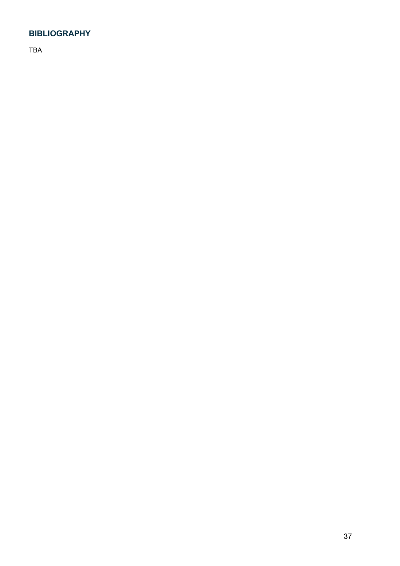# **BIBLIOGRAPHY**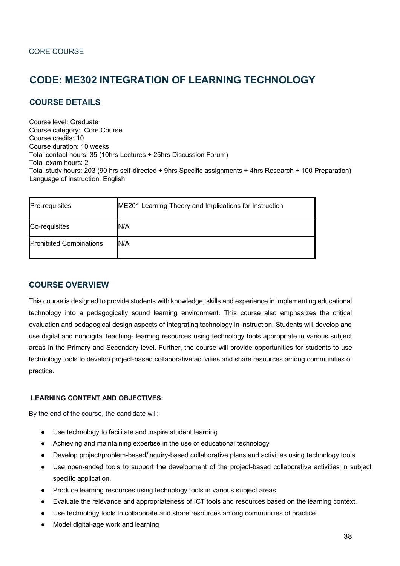# **CODE: ME302 INTEGRATION OF LEARNING TECHNOLOGY**

# **COURSE DETAILS**

Course level: Graduate Course category: Core Course Course credits: 10 Course duration: 10 weeks Total contact hours: 35 (10hrs Lectures + 25hrs Discussion Forum) Total exam hours: 2 Total study hours: 203 (90 hrs self-directed + 9hrs Specific assignments + 4hrs Research + 100 Preparation) Language of instruction: English

| Pre-requisites                 | ME201 Learning Theory and Implications for Instruction |
|--------------------------------|--------------------------------------------------------|
| Co-requisites                  | N/A                                                    |
| <b>Prohibited Combinations</b> | N/A                                                    |

# **COURSE OVERVIEW**

This course is designed to provide students with knowledge, skills and experience in implementing educational technology into a pedagogically sound learning environment. This course also emphasizes the critical evaluation and pedagogical design aspects of integrating technology in instruction. Students will develop and use digital and nondigital teaching- learning resources using technology tools appropriate in various subject areas in the Primary and Secondary level. Further, the course will provide opportunities for students to use technology tools to develop project-based collaborative activities and share resources among communities of practice.

#### **LEARNING CONTENT AND OBJECTIVES:**

By the end of the course, the candidate will:

- Use technology to facilitate and inspire student learning
- Achieving and maintaining expertise in the use of educational technology
- Develop project/problem-based/inquiry-based collaborative plans and activities using technology tools
- Use open-ended tools to support the development of the project-based collaborative activities in subject specific application.
- Produce learning resources using technology tools in various subject areas.
- Evaluate the relevance and appropriateness of ICT tools and resources based on the learning context.
- Use technology tools to collaborate and share resources among communities of practice.
- Model digital-age work and learning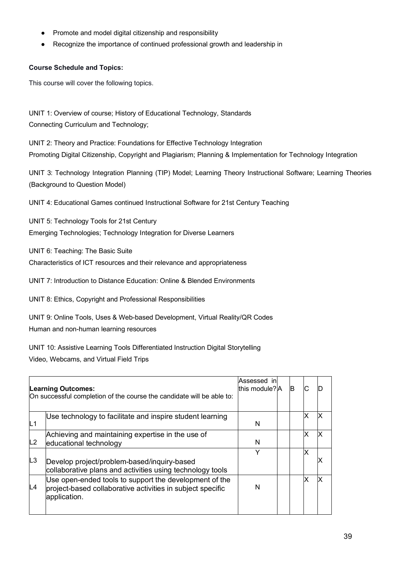- Promote and model digital citizenship and responsibility
- Recognize the importance of continued professional growth and leadership in

#### **Course Schedule and Topics:**

This course will cover the following topics.

UNIT 1: Overview of course; History of Educational Technology, Standards Connecting Curriculum and Technology;

UNIT 2: Theory and Practice: Foundations for Effective Technology Integration Promoting Digital Citizenship, Copyright and Plagiarism; Planning & Implementation for Technology Integration

UNIT 3: Technology Integration Planning (TIP) Model; Learning Theory Instructional Software; Learning Theories (Background to Question Model)

UNIT 4: Educational Games continued Instructional Software for 21st Century Teaching

UNIT 5: Technology Tools for 21st Century Emerging Technologies; Technology Integration for Diverse Learners

UNIT 6: Teaching: The Basic Suite

Characteristics of ICT resources and their relevance and appropriateness

UNIT 7: Introduction to Distance Education: Online & Blended Environments

UNIT 8: Ethics, Copyright and Professional Responsibilities

UNIT 9: Online Tools, Uses & Web-based Development, Virtual Reality/QR Codes Human and non-human learning resources

UNIT 10: Assistive Learning Tools Differentiated Instruction Digital Storytelling Video, Webcams, and Virtual Field Trips

| <b>Learning Outcomes:</b><br>On successful completion of the course the candidate will be able to: |                                                                                                                                      | Assessed inl<br>this module?A | <b>B</b> |    |  |
|----------------------------------------------------------------------------------------------------|--------------------------------------------------------------------------------------------------------------------------------------|-------------------------------|----------|----|--|
| IL <sub>1</sub>                                                                                    | Use technology to facilitate and inspire student learning                                                                            | N                             |          | x  |  |
| L2                                                                                                 | Achieving and maintaining expertise in the use of<br>educational technology                                                          | N                             |          | χ  |  |
| L3                                                                                                 | Develop project/problem-based/inquiry-based<br>collaborative plans and activities using technology tools                             | Y                             |          | х  |  |
| L4                                                                                                 | Use open-ended tools to support the development of the<br>project-based collaborative activities in subject specific<br>application. | N                             |          | ΙX |  |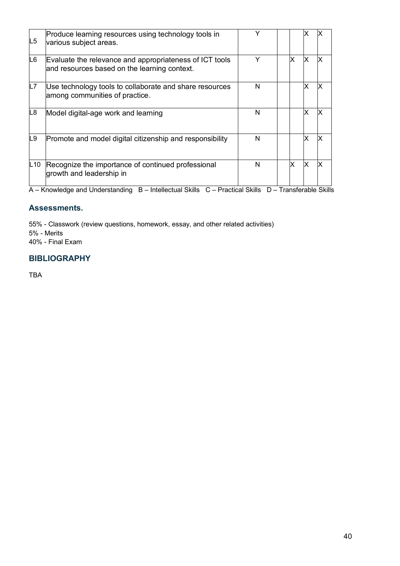| L <sub>5</sub> | Produce learning resources using technology tools in<br>various subject areas.                          |   |   |    |  |
|----------------|---------------------------------------------------------------------------------------------------------|---|---|----|--|
| L6             | Evaluate the relevance and appropriateness of ICT tools<br>and resources based on the learning context. | Υ | x |    |  |
| L7             | Use technology tools to collaborate and share resources<br>among communities of practice.               | N |   |    |  |
| L8             | Model digital-age work and learning                                                                     | N |   |    |  |
| L9             | Promote and model digital citizenship and responsibility                                                | N |   |    |  |
| L10            | Recognize the importance of continued professional<br>growth and leadership in                          | N | X | ΙX |  |

A – Knowledge and Understanding B – Intellectual Skills C – Practical Skills D – Transferable Skills

# **Assessments.**

55% - Classwork (review questions, homework, essay, and other related activities) 5% - Merits 40% - Final Exam

# **BIBLIOGRAPHY**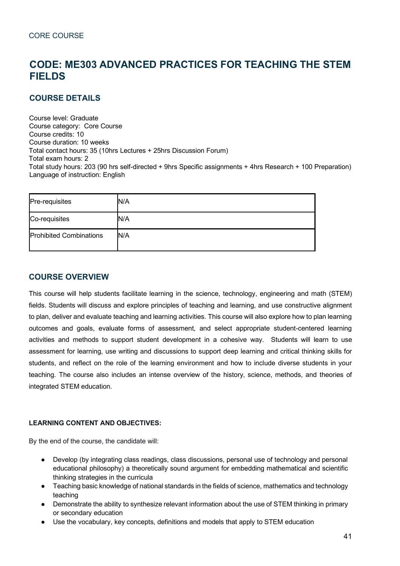# **CODE: ME303 ADVANCED PRACTICES FOR TEACHING THE STEM FIELDS**

# **COURSE DETAILS**

Course level: Graduate Course category: Core Course Course credits: 10 Course duration: 10 weeks Total contact hours: 35 (10hrs Lectures + 25hrs Discussion Forum) Total exam hours: 2 Total study hours: 203 (90 hrs self-directed + 9hrs Specific assignments + 4hrs Research + 100 Preparation) Language of instruction: English

| Pre-requisites                 | N/A |
|--------------------------------|-----|
| Co-requisites                  | N/A |
| <b>Prohibited Combinations</b> | N/A |

# **COURSE OVERVIEW**

This course will help students facilitate learning in the science, technology, engineering and math (STEM) fields. Students will discuss and explore principles of teaching and learning, and use constructive alignment to plan, deliver and evaluate teaching and learning activities. This course will also explore how to plan learning outcomes and goals, evaluate forms of assessment, and select appropriate student-centered learning activities and methods to support student development in a cohesive way. Students will learn to use assessment for learning, use writing and discussions to support deep learning and critical thinking skills for students, and reflect on the role of the learning environment and how to include diverse students in your teaching. The course also includes an intense overview of the history, science, methods, and theories of integrated STEM education.

#### **LEARNING CONTENT AND OBJECTIVES:**

By the end of the course, the candidate will:

- Develop (by integrating class readings, class discussions, personal use of technology and personal educational philosophy) a theoretically sound argument for embedding mathematical and scientific thinking strategies in the curricula
- Teaching basic knowledge of national standards in the fields of science, mathematics and technology teaching
- Demonstrate the ability to synthesize relevant information about the use of STEM thinking in primary or secondary education
- Use the vocabulary, key concepts, definitions and models that apply to STEM education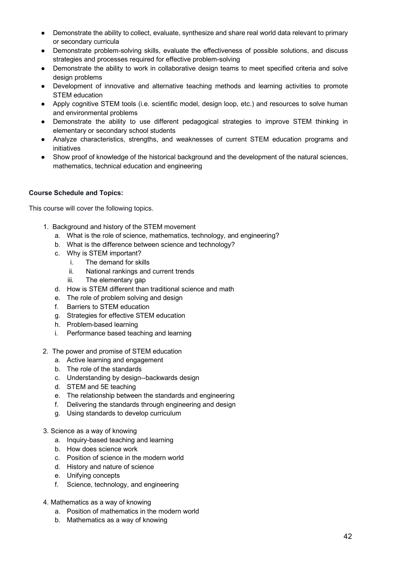- Demonstrate the ability to collect, evaluate, synthesize and share real world data relevant to primary or secondary curricula
- Demonstrate problem-solving skills, evaluate the effectiveness of possible solutions, and discuss strategies and processes required for effective problem-solving
- Demonstrate the ability to work in collaborative design teams to meet specified criteria and solve design problems
- Development of innovative and alternative teaching methods and learning activities to promote STEM education
- Apply cognitive STEM tools (i.e. scientific model, design loop, etc.) and resources to solve human and environmental problems
- Demonstrate the ability to use different pedagogical strategies to improve STEM thinking in elementary or secondary school students
- Analyze characteristics, strengths, and weaknesses of current STEM education programs and initiatives
- Show proof of knowledge of the historical background and the development of the natural sciences, mathematics, technical education and engineering

#### **Course Schedule and Topics:**

This course will cover the following topics.

- 1. Background and history of the STEM movement
	- a. What is the role of science, mathematics, technology, and engineering?
	- b. What is the difference between science and technology?
	- c. Why is STEM important?
		- i. The demand for skills
		- ii. National rankings and current trends
		- iii. The elementary gap
	- d. How is STEM different than traditional science and math
	- e. The role of problem solving and design
	- f. Barriers to STEM education
	- g. Strategies for effective STEM education
	- h. Problem-based learning
	- i. Performance based teaching and learning
- 2. The power and promise of STEM education
	- a. Active learning and engagement
	- b. The role of the standards
	- c. Understanding by design--backwards design
	- d. STEM and 5E teaching
	- e. The relationship between the standards and engineering
	- f. Delivering the standards through engineering and design
	- g. Using standards to develop curriculum
- 3. Science as a way of knowing
	- a. Inquiry-based teaching and learning
	- b. How does science work
	- c. Position of science in the modern world
	- d. History and nature of science
	- e. Unifying concepts
	- f. Science, technology, and engineering
- 4. Mathematics as a way of knowing
	- a. Position of mathematics in the modern world
	- b. Mathematics as a way of knowing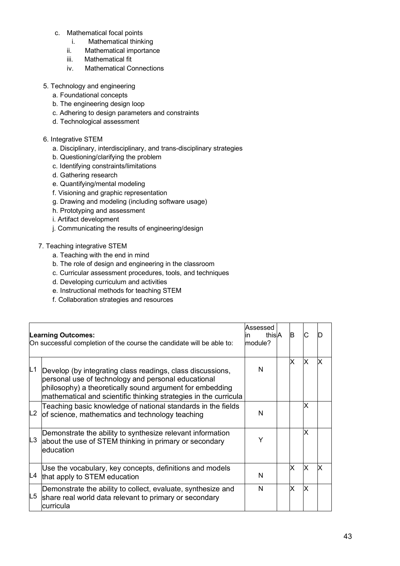- c. Mathematical focal points
	- i. Mathematical thinking
	- ii. Mathematical importance
	- iii. Mathematical fit
	- iv. Mathematical Connections
- 5. Technology and engineering
	- a. Foundational concepts
	- b. The engineering design loop
	- c. Adhering to design parameters and constraints
	- d. Technological assessment

#### 6. Integrative STEM

- a. Disciplinary, interdisciplinary, and trans-disciplinary strategies
- b. Questioning/clarifying the problem
- c. Identifying constraints/limitations
- d. Gathering research
- e. Quantifying/mental modeling
- f. Visioning and graphic representation
- g. Drawing and modeling (including software usage)
- h. Prototyping and assessment
- i. Artifact development
- j. Communicating the results of engineering/design

## 7. Teaching integrative STEM

- a. Teaching with the end in mind
- b. The role of design and engineering in the classroom
- c. Curricular assessment procedures, tools, and techniques
- d. Developing curriculum and activities
- e. Instructional methods for teaching STEM
- f. Collaboration strategies and resources

| <b>Learning Outcomes:</b><br>On successful completion of the course the candidate will be able to: |                                                                                                                                                                                                                                                   | lAssessed<br>thislA<br>lın<br>module? | B |    |  |
|----------------------------------------------------------------------------------------------------|---------------------------------------------------------------------------------------------------------------------------------------------------------------------------------------------------------------------------------------------------|---------------------------------------|---|----|--|
| L1                                                                                                 | Develop (by integrating class readings, class discussions,<br>personal use of technology and personal educational<br>philosophy) a theoretically sound argument for embedding<br>mathematical and scientific thinking strategies in the curricula | N                                     | X | ΙX |  |
|                                                                                                    | Teaching basic knowledge of national standards in the fields<br>$ L2 $ of science, mathematics and technology teaching                                                                                                                            | N                                     |   | x  |  |
| L <sub>3</sub>                                                                                     | Demonstrate the ability to synthesize relevant information<br>about the use of STEM thinking in primary or secondary<br>leducation                                                                                                                | Y                                     |   | ΙX |  |
| L4                                                                                                 | Use the vocabulary, key concepts, definitions and models<br>that apply to STEM education                                                                                                                                                          | N                                     | x | ΙX |  |
| L5                                                                                                 | Demonstrate the ability to collect, evaluate, synthesize and<br>share real world data relevant to primary or secondary<br>curricula                                                                                                               | N                                     | x | ΙX |  |